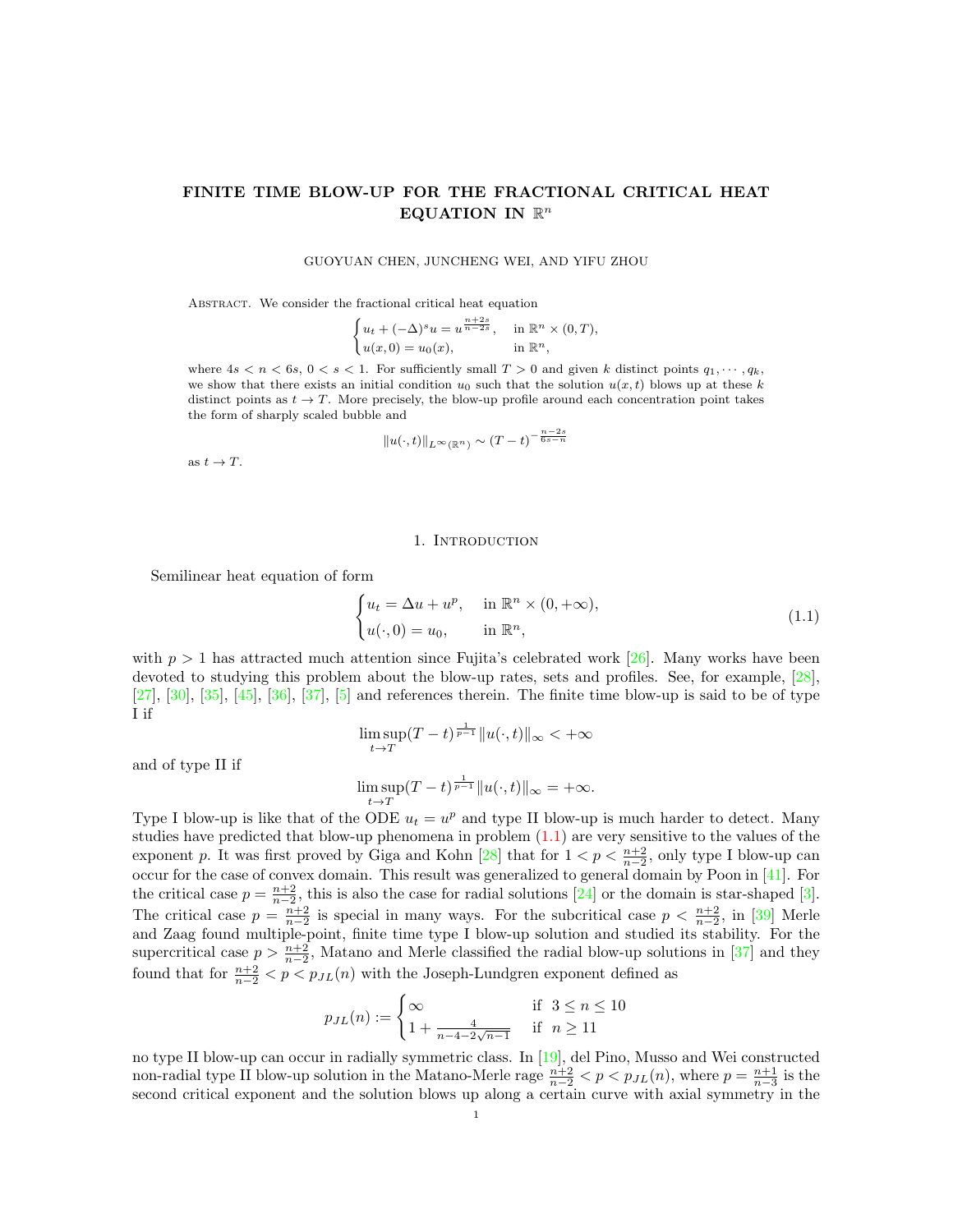# FINITE TIME BLOW-UP FOR THE FRACTIONAL CRITICAL HEAT EQUATION IN  $\mathbb{R}^n$

#### GUOYUAN CHEN, JUNCHENG WEI, AND YIFU ZHOU

ABSTRACT. We consider the fractional critical heat equation

$$
\begin{cases} u_t + (-\Delta)^s u = u^{\frac{n+2s}{n-2s}}, & \text{in } \mathbb{R}^n \times (0,T), \\ u(x,0) = u_0(x), & \text{in } \mathbb{R}^n, \end{cases}
$$

where  $4s < n < 6s, 0 < s < 1$ . For sufficiently small  $T > 0$  and given k distinct points  $q_1, \dots, q_k$ , we show that there exists an initial condition  $u_0$  such that the solution  $u(x, t)$  blows up at these k distinct points as  $t \to T$ . More precisely, the blow-up profile around each concentration point takes the form of sharply scaled bubble and

$$
||u(\cdot,t)||_{L^{\infty}(\mathbb{R}^n)} \sim (T-t)^{-\frac{n-2s}{6s-n}}
$$

as  $t \to T$ .

#### 1. Introduction

Semilinear heat equation of form

<span id="page-0-0"></span>
$$
\begin{cases} u_t = \Delta u + u^p, & \text{in } \mathbb{R}^n \times (0, +\infty), \\ u(\cdot, 0) = u_0, & \text{in } \mathbb{R}^n, \end{cases}
$$
 (1.1)

with  $p > 1$  has attracted much attention since Fujita's celebrated work [\[26\]](#page-20-0). Many works have been devoted to studying this problem about the blow-up rates, sets and profiles. See, for example, [\[28\]](#page-21-0), [\[27\]](#page-20-1),  $[30]$ ,  $[35]$ ,  $[45]$ ,  $[36]$ ,  $[37]$ ,  $[5]$  and references therein. The finite time blow-up is said to be of type I if

$$
\limsup_{t \to T} (T-t)^{\frac{1}{p-1}} \|u(\cdot,t)\|_{\infty} < +\infty
$$

and of type II if

$$
\limsup_{t\to T} (T-t)^{\frac{1}{p-1}}\|u(\cdot,t)\|_\infty =+\infty.
$$

Type I blow-up is like that of the ODE  $u_t = u^p$  and type II blow-up is much harder to detect. Many studies have predicted that blow-up phenomena in problem  $(1.1)$  are very sensitive to the values of the exponent p. It was first proved by Giga and Kohn [\[28\]](#page-21-0) that for  $1 < p < \frac{n+2}{n-2}$ , only type I blow-up can occur for the case of convex domain. This result was generalized to general domain by Poon in [\[41\]](#page-21-6). For the critical case  $p = \frac{n+2}{n-2}$ , this is also the case for radial solutions [\[24\]](#page-20-3) or the domain is star-shaped [\[3\]](#page-20-4). The critical case  $p = \frac{n+2}{n-2}$  is special in many ways. For the subcritical case  $p < \frac{n+2}{n-2}$ , in [\[39\]](#page-21-7) Merle and Zaag found multiple-point, finite time type I blow-up solution and studied its stability. For the supercritical case  $p > \frac{n+2}{n-2}$ , Matano and Merle classified the radial blow-up solutions in [\[37\]](#page-21-5) and they found that for  $\frac{n+2}{n-2} < p < p_{JL}(n)$  with the Joseph-Lundgren exponent defined as

$$
p_{JL}(n) := \begin{cases} \infty & \text{if } 3 \le n \le 10\\ 1 + \frac{4}{n - 4 - 2\sqrt{n - 1}} & \text{if } n \ge 11 \end{cases}
$$

no type II blow-up can occur in radially symmetric class. In [\[19\]](#page-20-5), del Pino, Musso and Wei constructed non-radial type II blow-up solution in the Matano-Merle rage  $\frac{n+2}{n-2} < p < p_{J,L}(n)$ , where  $p = \frac{n+1}{n-3}$  is the second critical exponent and the solution blows up along a certain curve with axial symmetry in the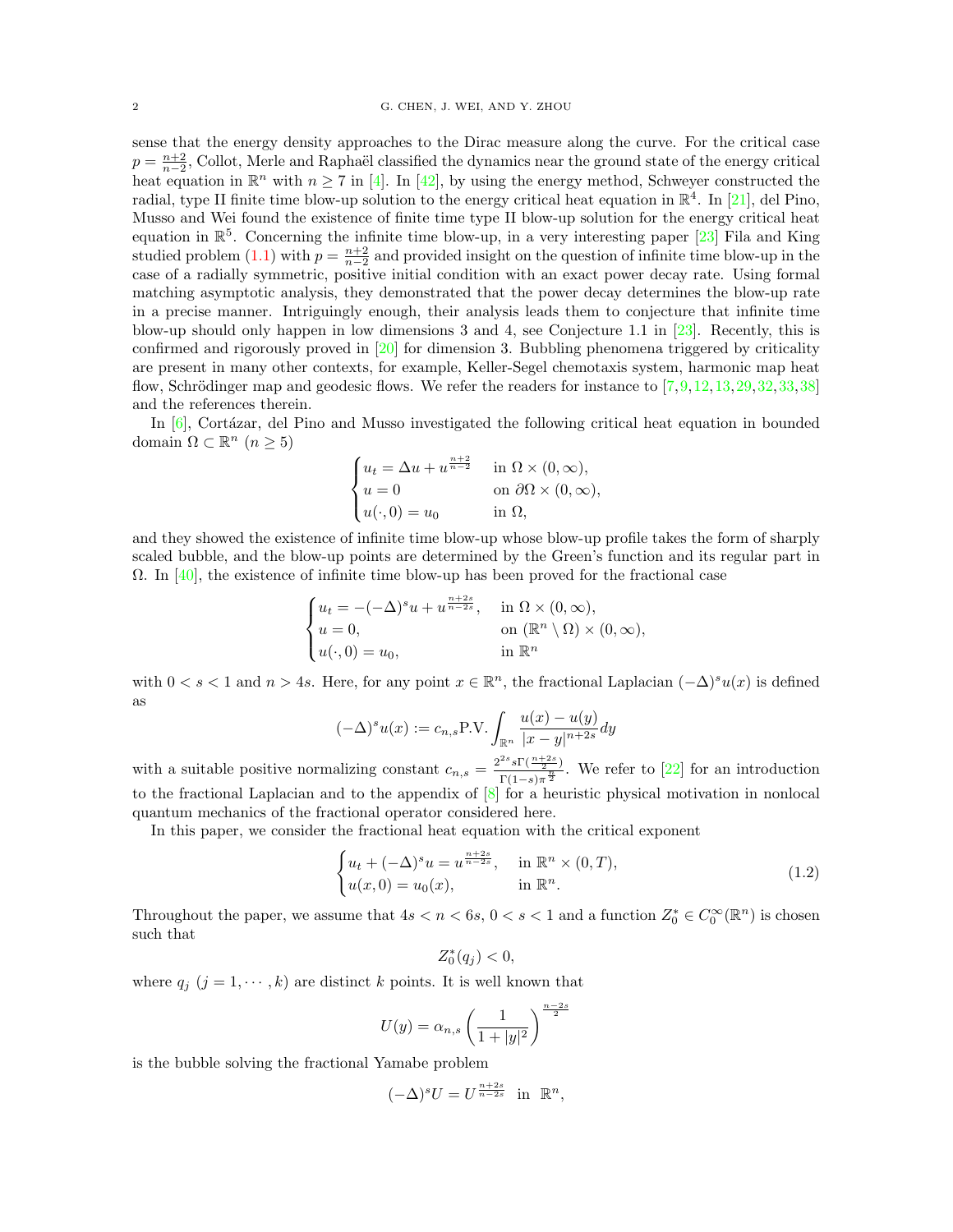sense that the energy density approaches to the Dirac measure along the curve. For the critical case  $p = \frac{n+2}{n-2}$ , Collot, Merle and Raphaël classified the dynamics near the ground state of the energy critical heat equation in  $\mathbb{R}^n$  with  $n \geq 7$  in [\[4\]](#page-20-6). In [\[42\]](#page-21-8), by using the energy method, Schweyer constructed the radial, type II finite time blow-up solution to the energy critical heat equation in  $\mathbb{R}^4$ . In [\[21\]](#page-20-7), del Pino, Musso and Wei found the existence of finite time type II blow-up solution for the energy critical heat equation in  $\mathbb{R}^5$ . Concerning the infinite time blow-up, in a very interesting paper [\[23\]](#page-20-8) Fila and King studied problem [\(1.1\)](#page-0-0) with  $p = \frac{n+2}{n-2}$  and provided insight on the question of infinite time blow-up in the case of a radially symmetric, positive initial condition with an exact power decay rate. Using formal matching asymptotic analysis, they demonstrated that the power decay determines the blow-up rate in a precise manner. Intriguingly enough, their analysis leads them to conjecture that infinite time blow-up should only happen in low dimensions 3 and 4, see Conjecture 1.1 in [\[23\]](#page-20-8). Recently, this is confirmed and rigorously proved in [\[20\]](#page-20-9) for dimension 3. Bubbling phenomena triggered by criticality are present in many other contexts, for example, Keller-Segel chemotaxis system, harmonic map heat flow, Schrödinger map and geodesic flows. We refer the readers for instance to  $[7,9,12,13,29,32,33,38]$  $[7,9,12,13,29,32,33,38]$  $[7,9,12,13,29,32,33,38]$  $[7,9,12,13,29,32,33,38]$  $[7,9,12,13,29,32,33,38]$  $[7,9,12,13,29,32,33,38]$  $[7,9,12,13,29,32,33,38]$  $[7,9,12,13,29,32,33,38]$ and the references therein.

In  $[6]$ , Cortázar, del Pino and Musso investigated the following critical heat equation in bounded domain  $\Omega \subset \mathbb{R}^n$   $(n \geq 5)$ 

$$
\begin{cases} u_t = \Delta u + u^{\frac{n+2}{n-2}} & \text{in } \Omega \times (0, \infty), \\ u = 0 & \text{on } \partial \Omega \times (0, \infty), \\ u(\cdot, 0) = u_0 & \text{in } \Omega, \end{cases}
$$

and they showed the existence of infinite time blow-up whose blow-up profile takes the form of sharply scaled bubble, and the blow-up points are determined by the Green's function and its regular part in  $\Omega$ . In [\[40\]](#page-21-13), the existence of infinite time blow-up has been proved for the fractional case

$$
\begin{cases} u_t = -(-\Delta)^s u + u^{\frac{n+2s}{n-2s}}, & \text{in } \Omega \times (0, \infty), \\ u = 0, & \text{on } (\mathbb{R}^n \setminus \Omega) \times (0, \infty), \\ u(\cdot, 0) = u_0, & \text{in } \mathbb{R}^n \end{cases}
$$

with  $0 < s < 1$  and  $n > 4s$ . Here, for any point  $x \in \mathbb{R}^n$ , the fractional Laplacian  $(-\Delta)^s u(x)$  is defined as

$$
(-\Delta)^s u(x) := c_{n,s} \text{P.V.} \int_{\mathbb{R}^n} \frac{u(x) - u(y)}{|x - y|^{n+2s}} dy
$$

with a suitable positive normalizing constant  $c_{n,s} = \frac{2^{2s} s \Gamma(\frac{n+2s}{2})}{\Gamma(1-s)^{\frac{n}{2}}}$  $\frac{s_1(\frac{2}{2n})}{\Gamma(1-s)\pi^{\frac{n}{2}}}$ . We refer to [\[22\]](#page-20-15) for an introduction to the fractional Laplacian and to the appendix of [\[8\]](#page-20-16) for a heuristic physical motivation in nonlocal quantum mechanics of the fractional operator considered here.

In this paper, we consider the fractional heat equation with the critical exponent

<span id="page-1-0"></span>
$$
\begin{cases} u_t + (-\Delta)^s u = u^{\frac{n+2s}{n-2s}}, & \text{in } \mathbb{R}^n \times (0, T), \\ u(x, 0) = u_0(x), & \text{in } \mathbb{R}^n. \end{cases}
$$
 (1.2)

Throughout the paper, we assume that  $4s < n < 6s$ ,  $0 < s < 1$  and a function  $Z_0^* \in C_0^{\infty}(\mathbb{R}^n)$  is chosen such that

$$
Z_0^*(q_j) < 0,
$$

where  $q_j$   $(j = 1, \dots, k)$  are distinct k points. It is well known that

$$
U(y) = \alpha_{n,s} \left( \frac{1}{1 + |y|^2} \right)^{\frac{n-2s}{2}}
$$

is the bubble solving the fractional Yamabe problem

$$
(-\Delta)^s U = U^{\frac{n+2s}{n-2s}} \quad \text{in} \quad \mathbb{R}^n,
$$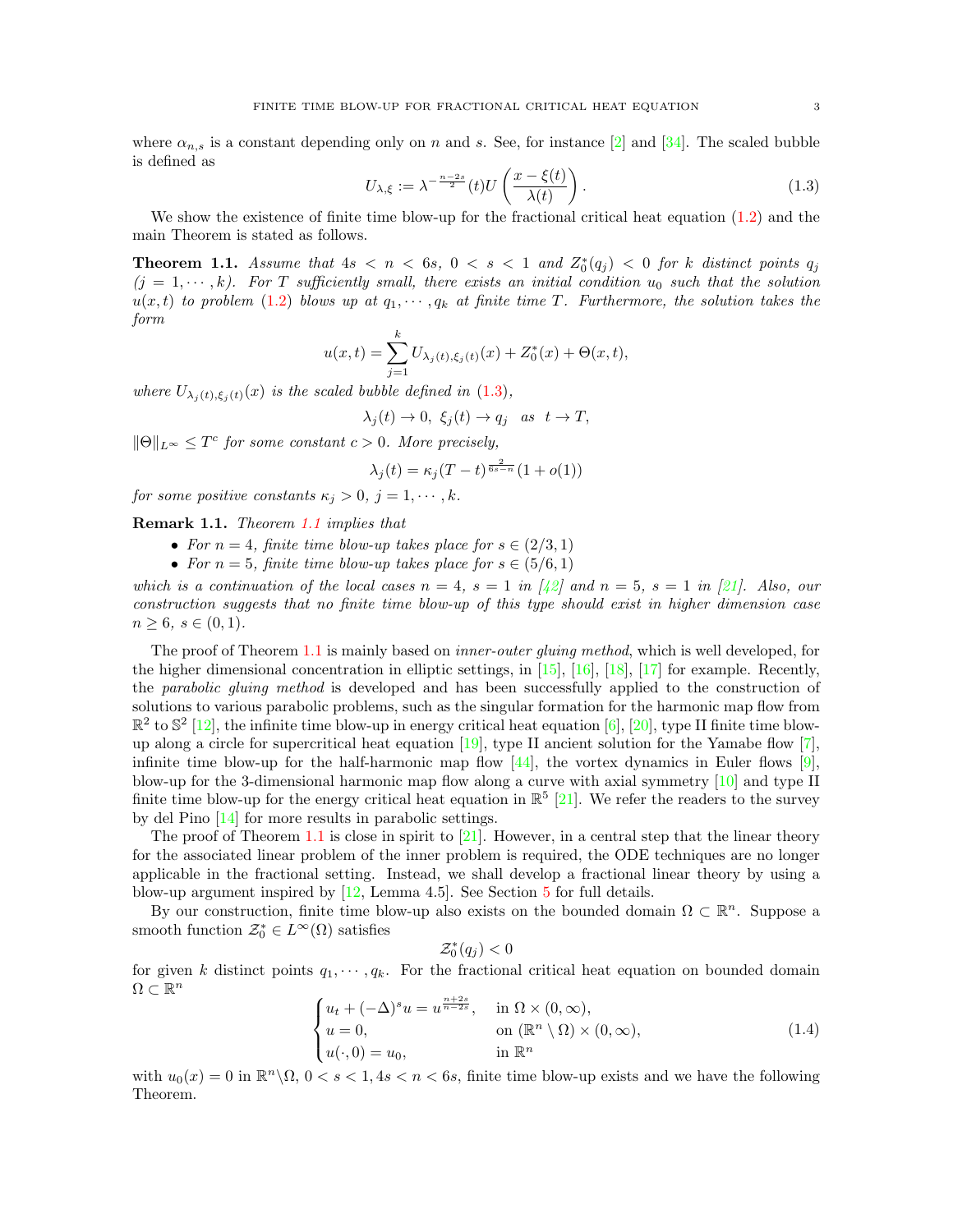where  $\alpha_{n,s}$  is a constant depending only on n and s. See, for instance [\[2\]](#page-20-17) and [\[34\]](#page-21-14). The scaled bubble is defined as

<span id="page-2-0"></span>
$$
U_{\lambda,\xi} := \lambda^{-\frac{n-2s}{2}}(t)U\left(\frac{x-\xi(t)}{\lambda(t)}\right). \tag{1.3}
$$

We show the existence of finite time blow-up for the fractional critical heat equation  $(1.2)$  and the main Theorem is stated as follows.

<span id="page-2-1"></span>**Theorem 1.1.** Assume that  $4s < n < 6s$ ,  $0 < s < 1$  and  $Z_0^*(q_j) < 0$  for k distinct points  $q_j$  $(j = 1, \dots, k)$ . For T sufficiently small, there exists an initial condition  $u_0$  such that the solution  $u(x, t)$  to problem [\(1.2\)](#page-1-0) blows up at  $q_1, \dots, q_k$  at finite time T. Furthermore, the solution takes the form

$$
u(x,t) = \sum_{j=1}^{k} U_{\lambda_j(t),\xi_j(t)}(x) + Z_0^*(x) + \Theta(x,t),
$$

where  $U_{\lambda_i(t),\xi_i(t)}(x)$  is the scaled bubble defined in [\(1.3\)](#page-2-0),

$$
\lambda_j(t) \to 0, \ \xi_j(t) \to q_j \quad as \ \ t \to T,
$$

 $\|\Theta\|_{L^{\infty}} \leq T^{c}$  for some constant  $c > 0$ . More precisely,

$$
\lambda_j(t) = \kappa_j(T - t)^{\frac{2}{6s - n}} (1 + o(1))
$$

for some positive constants  $\kappa_j > 0, j = 1, \cdots, k$ .

Remark 1.1. Theorem [1.1](#page-2-1) implies that

- For  $n = 4$ , finite time blow-up takes place for  $s \in (2/3, 1)$
- For  $n = 5$ , finite time blow-up takes place for  $s \in (5/6, 1)$

which is a continuation of the local cases  $n = 4$ ,  $s = 1$  in [\[42\]](#page-21-8) and  $n = 5$ ,  $s = 1$  in [\[21\]](#page-20-7). Also, our construction suggests that no finite time blow-up of this type should exist in higher dimension case  $n \geq 6, s \in (0,1).$ 

The proof of Theorem [1.1](#page-2-1) is mainly based on *inner-outer gluing method*, which is well developed, for the higher dimensional concentration in elliptic settings, in  $[15]$ ,  $[16]$ ,  $[18]$ ,  $[17]$  for example. Recently, the parabolic gluing method is developed and has been successfully applied to the construction of solutions to various parabolic problems, such as the singular formation for the harmonic map flow from  $\mathbb{R}^2$  to  $\mathbb{S}^2$  [\[12\]](#page-20-12), the infinite time blow-up in energy critical heat equation [\[6\]](#page-20-14), [\[20\]](#page-20-9), type II finite time blowup along a circle for supercritical heat equation  $[19]$ , type II ancient solution for the Yamabe flow [\[7\]](#page-20-10), infinite time blow-up for the half-harmonic map flow  $[44]$ , the vortex dynamics in Euler flows  $[9]$ , blow-up for the 3-dimensional harmonic map flow along a curve with axial symmetry [\[10\]](#page-20-22) and type II finite time blow-up for the energy critical heat equation in  $\mathbb{R}^5$  [\[21\]](#page-20-7). We refer the readers to the survey by del Pino [\[14\]](#page-20-23) for more results in parabolic settings.

The proof of Theorem [1.1](#page-2-1) is close in spirit to  $[21]$ . However, in a central step that the linear theory for the associated linear problem of the inner problem is required, the ODE techniques are no longer applicable in the fractional setting. Instead, we shall develop a fractional linear theory by using a blow-up argument inspired by [\[12,](#page-20-12) Lemma 4.5]. See Section [5](#page-8-0) for full details.

By our construction, finite time blow-up also exists on the bounded domain  $\Omega \subset \mathbb{R}^n$ . Suppose a smooth function  $\mathcal{Z}_0^* \in L^{\infty}(\Omega)$  satisfies

$$
\mathcal{Z}_0^*(q_j)<0
$$

for given k distinct points  $q_1, \dots, q_k$ . For the fractional critical heat equation on bounded domain  $\Omega \subset \mathbb{R}^n$ 

<span id="page-2-2"></span>
$$
\begin{cases}\n u_t + (-\Delta)^s u = u^{\frac{n+2s}{n-2s}}, & \text{in } \Omega \times (0, \infty), \\
 u = 0, & \text{on } (\mathbb{R}^n \setminus \Omega) \times (0, \infty), \\
 u(\cdot, 0) = u_0, & \text{in } \mathbb{R}^n\n\end{cases}
$$
\n(1.4)

with  $u_0(x) = 0$  in  $\mathbb{R}^n \setminus \Omega$ ,  $0 < s < 1$ ,  $4s < n < 6s$ , finite time blow-up exists and we have the following Theorem.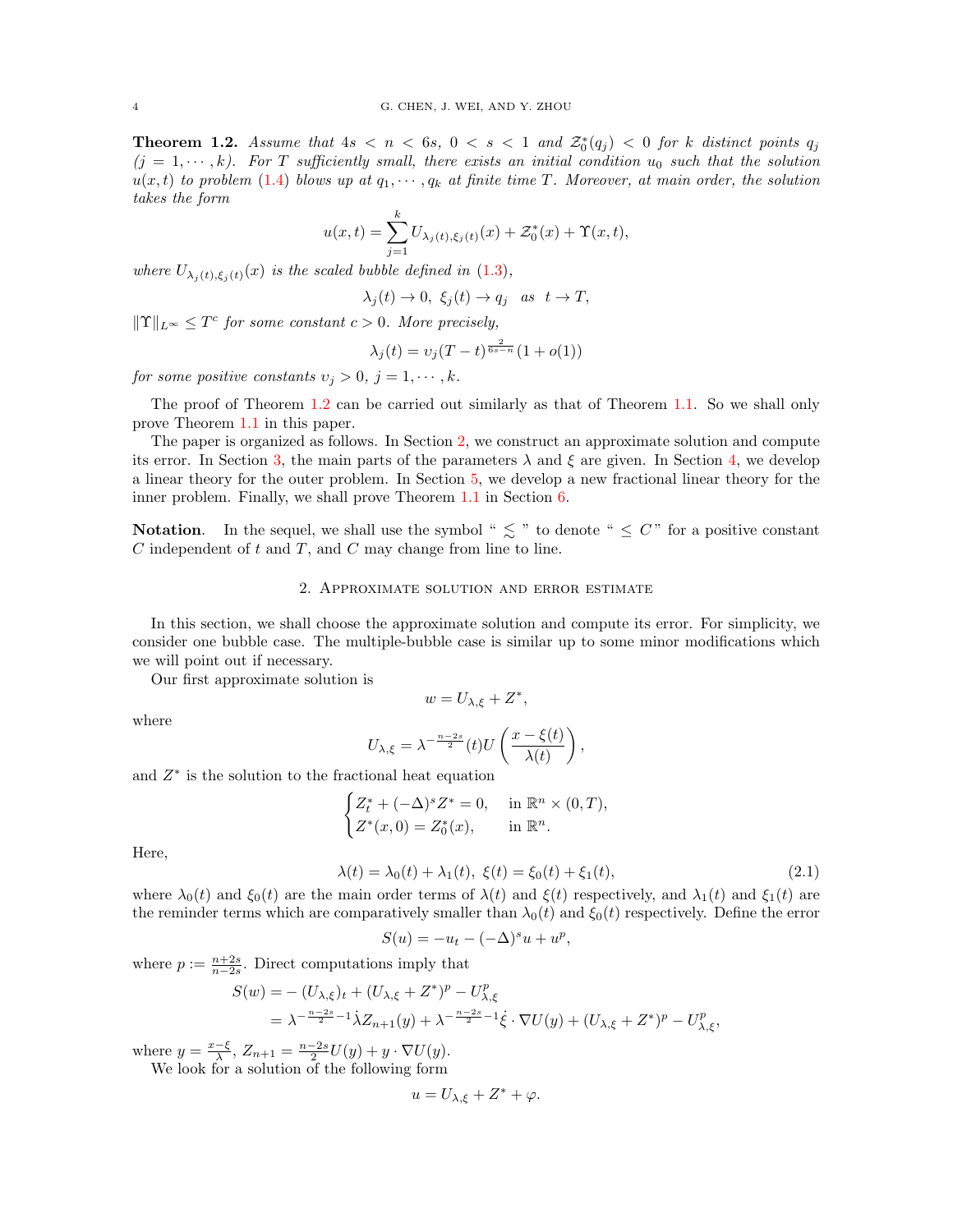<span id="page-3-0"></span>**Theorem 1.2.** Assume that  $4s < n < 6s$ ,  $0 < s < 1$  and  $\mathcal{Z}_0^*(q_j) < 0$  for k distinct points  $q_j$  $(j = 1, \dots, k)$ . For T sufficiently small, there exists an initial condition  $u_0$  such that the solution  $u(x, t)$  to problem [\(1.4\)](#page-2-2) blows up at  $q_1, \dots, q_k$  at finite time T. Moreover, at main order, the solution takes the form

$$
u(x,t) = \sum_{j=1}^{k} U_{\lambda_j(t),\xi_j(t)}(x) + \mathcal{Z}_0^*(x) + \Upsilon(x,t),
$$

where  $U_{\lambda_i(t),\xi_i(t)}(x)$  is the scaled bubble defined in [\(1.3\)](#page-2-0),

$$
\lambda_j(t) \to 0, \ \xi_j(t) \to q_j \quad as \ \ t \to T,
$$

 $||\Upsilon||_{L^{\infty}} \leq T^{c}$  for some constant  $c > 0$ . More precisely,

$$
\lambda_j(t) = \nu_j(T - t)^{\frac{2}{6s - n}}(1 + o(1))
$$

for some positive constants  $v_j > 0$ ,  $j = 1, \dots, k$ .

The proof of Theorem [1.2](#page-3-0) can be carried out similarly as that of Theorem [1.1.](#page-2-1) So we shall only prove Theorem [1.1](#page-2-1) in this paper.

The paper is organized as follows. In Section [2,](#page-3-1) we construct an approximate solution and compute its error. In Section [3,](#page-5-0) the main parts of the parameters  $\lambda$  and  $\xi$  are given. In Section [4,](#page-6-0) we develop a linear theory for the outer problem. In Section [5,](#page-8-0) we develop a new fractional linear theory for the inner problem. Finally, we shall prove Theorem [1.1](#page-2-1) in Section [6.](#page-15-0)

**Notation.** In the sequel, we shall use the symbol "  $\lesssim$  " to denote "  $\leq C$ " for a positive constant  $C$  independent of  $t$  and  $T$ , and  $C$  may change from line to line.

## 2. Approximate solution and error estimate

<span id="page-3-1"></span>In this section, we shall choose the approximate solution and compute its error. For simplicity, we consider one bubble case. The multiple-bubble case is similar up to some minor modifications which we will point out if necessary.

Our first approximate solution is

$$
w = U_{\lambda,\xi} + Z^*,
$$

where

$$
U_{\lambda,\xi} = \lambda^{-\frac{n-2s}{2}}(t)U\left(\frac{x-\xi(t)}{\lambda(t)}\right),\,
$$

and  $Z^*$  is the solution to the fractional heat equation

$$
\begin{cases} Z_t^* + (-\Delta)^s Z^* = 0, & \text{in } \mathbb{R}^n \times (0, T), \\ Z^*(x, 0) = Z_0^*(x), & \text{in } \mathbb{R}^n. \end{cases}
$$

Here,

<span id="page-3-2"></span>
$$
\lambda(t) = \lambda_0(t) + \lambda_1(t), \ \xi(t) = \xi_0(t) + \xi_1(t), \tag{2.1}
$$

,

where  $\lambda_0(t)$  and  $\xi_0(t)$  are the main order terms of  $\lambda(t)$  and  $\xi(t)$  respectively, and  $\lambda_1(t)$  and  $\xi_1(t)$  are the reminder terms which are comparatively smaller than  $\lambda_0(t)$  and  $\xi_0(t)$  respectively. Define the error

$$
S(u) = -u_t - (-\Delta)^s u + u^p
$$

where  $p := \frac{n+2s}{n-2s}$ . Direct computations imply that

$$
S(w) = -(U_{\lambda,\xi})_t + (U_{\lambda,\xi} + Z^*)^p - U_{\lambda,\xi}^p
$$
  
=  $\lambda^{-\frac{n-2s}{2}-1} \dot{\lambda} Z_{n+1}(y) + \lambda^{-\frac{n-2s}{2}-1} \dot{\xi} \cdot \nabla U(y) + (U_{\lambda,\xi} + Z^*)^p - U_{\lambda,\xi}^p,$ 

where  $y = \frac{x-\xi}{\lambda}$ ,  $Z_{n+1} = \frac{n-2s}{2}U(y) + y \cdot \nabla U(y)$ .

We look for a solution of the following form

$$
u = U_{\lambda,\xi} + Z^* + \varphi.
$$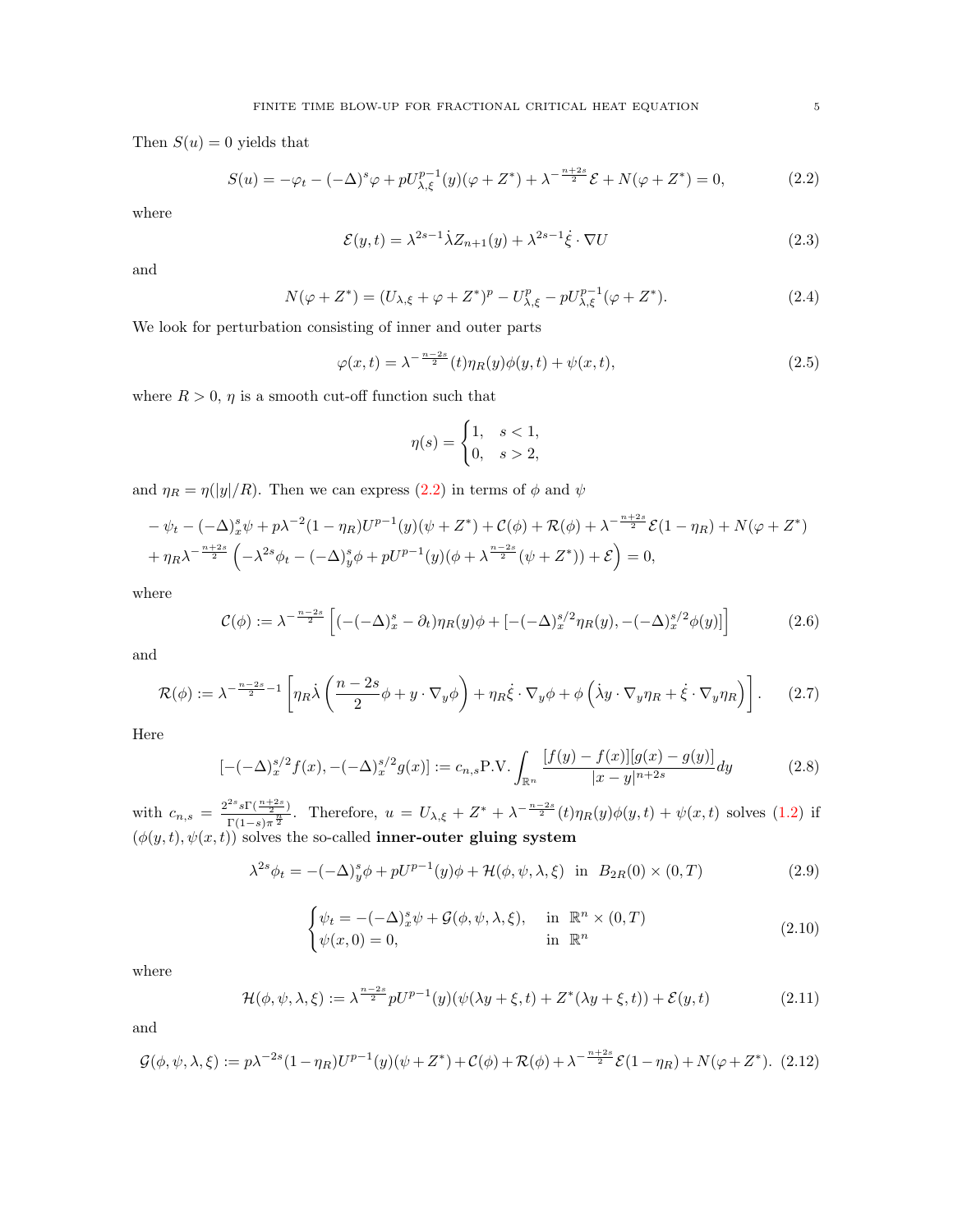Then  $S(u) = 0$  yields that

<span id="page-4-0"></span>
$$
S(u) = -\varphi_t - (-\Delta)^s \varphi + pU_{\lambda, \xi}^{p-1}(y)(\varphi + Z^*) + \lambda^{-\frac{n+2s}{2}} \mathcal{E} + N(\varphi + Z^*) = 0, \tag{2.2}
$$

where

$$
\mathcal{E}(y,t) = \lambda^{2s-1} \dot{\lambda} Z_{n+1}(y) + \lambda^{2s-1} \dot{\xi} \cdot \nabla U \tag{2.3}
$$

and

$$
N(\varphi + Z^*) = (U_{\lambda,\xi} + \varphi + Z^*)^p - U_{\lambda,\xi}^p - pU_{\lambda,\xi}^{p-1}(\varphi + Z^*).
$$
 (2.4)

We look for perturbation consisting of inner and outer parts

$$
\varphi(x,t) = \lambda^{-\frac{n-2s}{2}}(t)\eta_R(y)\phi(y,t) + \psi(x,t),\tag{2.5}
$$

where  $R > 0$ ,  $\eta$  is a smooth cut-off function such that

$$
\eta(s) = \begin{cases} 1, & s < 1, \\ 0, & s > 2, \end{cases}
$$

and  $\eta_R = \eta(|y|/R)$ . Then we can express [\(2.2\)](#page-4-0) in terms of  $\phi$  and  $\psi$ 

$$
-\psi_t - (-\Delta)_x^s \psi + p\lambda^{-2} (1 - \eta_R) U^{p-1}(y) (\psi + Z^*) + \mathcal{C}(\phi) + \mathcal{R}(\phi) + \lambda^{-\frac{n+2s}{2}} \mathcal{E} (1 - \eta_R) + N(\varphi + Z^*)
$$
  
+  $\eta_R \lambda^{-\frac{n+2s}{2}} \left( -\lambda^{2s} \phi_t - (-\Delta)_y^s \phi + pU^{p-1}(y) (\phi + \lambda^{\frac{n-2s}{2}} (\psi + Z^*)) + \mathcal{E} \right) = 0,$ 

where

$$
\mathcal{C}(\phi) := \lambda^{-\frac{n-2s}{2}} \left[ (-(-\Delta)_x^s - \partial_t) \eta_R(y) \phi + [ -(-\Delta)_x^{s/2} \eta_R(y), -(-\Delta)_x^{s/2} \phi(y) ] \right] \tag{2.6}
$$

and

$$
\mathcal{R}(\phi) := \lambda^{-\frac{n-2s}{2}-1} \left[ \eta_R \dot{\lambda} \left( \frac{n-2s}{2} \phi + y \cdot \nabla_y \phi \right) + \eta_R \dot{\xi} \cdot \nabla_y \phi + \phi \left( \dot{\lambda} y \cdot \nabla_y \eta_R + \dot{\xi} \cdot \nabla_y \eta_R \right) \right].
$$
 (2.7)

Here

$$
[-(-\Delta)_x^{s/2} f(x), -(-\Delta)_x^{s/2} g(x)] := c_{n,s} \text{P.V.} \int_{\mathbb{R}^n} \frac{[f(y) - f(x)][g(x) - g(y)]}{|x - y|^{n+2s}} dy \tag{2.8}
$$

with  $c_{n,s} = \frac{2^{2s} s \Gamma(\frac{n+2s}{2})}{\Gamma(1-s) - \frac{n}{2}}$  $\frac{f^{2s}\text{s}\Gamma(\frac{n+2s}{2})}{\Gamma(1-s)\pi^{\frac{n}{2}}}$ . Therefore,  $u=U_{\lambda,\xi}+Z^*+\lambda^{-\frac{n-2s}{2}}(t)\eta_R(y)\phi(y,t)+\psi(x,t)$  solves [\(1.2\)](#page-1-0) if  $(\phi(y, t), \psi(x, t))$  solves the so-called **inner-outer gluing system** 

<span id="page-4-1"></span>
$$
\lambda^{2s}\phi_t = -(-\Delta)^s_y \phi + pU^{p-1}(y)\phi + \mathcal{H}(\phi, \psi, \lambda, \xi) \quad \text{in} \quad B_{2R}(0) \times (0, T) \tag{2.9}
$$

<span id="page-4-2"></span>
$$
\begin{cases}\n\psi_t = -(-\Delta)_x^s \psi + \mathcal{G}(\phi, \psi, \lambda, \xi), & \text{in } \mathbb{R}^n \times (0, T) \\
\psi(x, 0) = 0, & \text{in } \mathbb{R}^n\n\end{cases}
$$
\n(2.10)

where

<span id="page-4-3"></span>
$$
\mathcal{H}(\phi,\psi,\lambda,\xi) := \lambda^{\frac{n-2s}{2}} pU^{p-1}(y)(\psi(\lambda y + \xi,t) + Z^*(\lambda y + \xi,t)) + \mathcal{E}(y,t)
$$
\n(2.11)

and

<span id="page-4-4"></span>
$$
\mathcal{G}(\phi,\psi,\lambda,\xi) := p\lambda^{-2s} (1 - \eta_R) U^{p-1}(y) (\psi + Z^*) + \mathcal{C}(\phi) + \mathcal{R}(\phi) + \lambda^{-\frac{n+2s}{2}} \mathcal{E} (1 - \eta_R) + N(\varphi + Z^*). \tag{2.12}
$$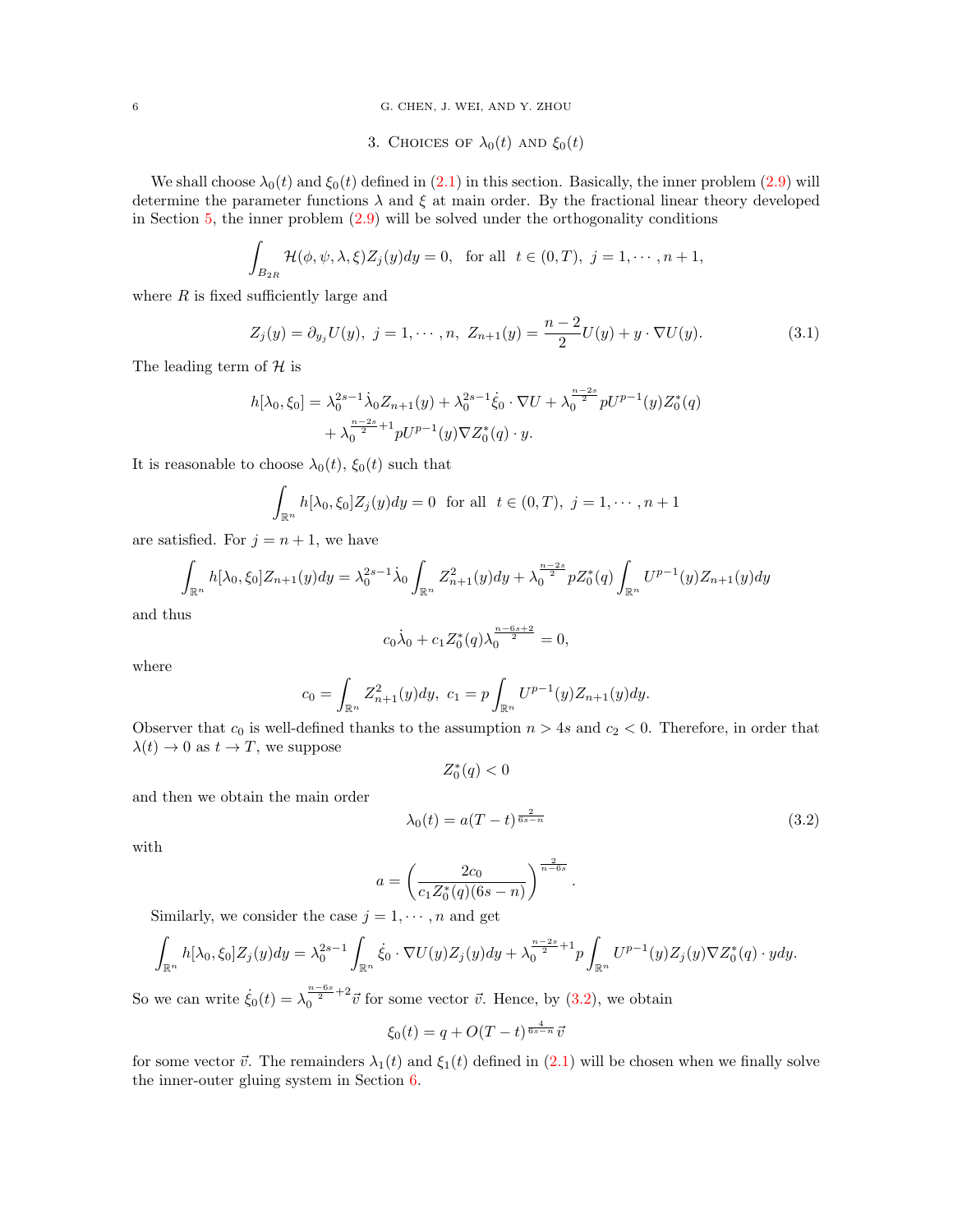<span id="page-5-0"></span>6 G. CHEN, J. WEI, AND Y. ZHOU

3. CHOICES OF  $\lambda_0(t)$  AND  $\xi_0(t)$ 

We shall choose  $\lambda_0(t)$  and  $\xi_0(t)$  defined in [\(2.1\)](#page-3-2) in this section. Basically, the inner problem [\(2.9\)](#page-4-1) will determine the parameter functions  $\lambda$  and  $\xi$  at main order. By the fractional linear theory developed in Section [5,](#page-8-0) the inner problem [\(2.9\)](#page-4-1) will be solved under the orthogonality conditions

$$
\int_{B_{2R}} \mathcal{H}(\phi, \psi, \lambda, \xi) Z_j(y) dy = 0, \text{ for all } t \in (0, T), j = 1, \cdots, n+1,
$$

where  $R$  is fixed sufficiently large and

$$
Z_j(y) = \partial_{y_j} U(y), \ j = 1, \cdots, n, \ Z_{n+1}(y) = \frac{n-2}{2} U(y) + y \cdot \nabla U(y). \tag{3.1}
$$

The leading term of  ${\mathcal H}$  is

$$
h[\lambda_0, \xi_0] = \lambda_0^{2s-1} \dot{\lambda}_0 Z_{n+1}(y) + \lambda_0^{2s-1} \dot{\xi}_0 \cdot \nabla U + \lambda_0^{\frac{n-2s}{2}} pU^{p-1}(y) Z_0^*(q)
$$
  
+ 
$$
\lambda_0^{\frac{n-2s}{2}+1} pU^{p-1}(y) \nabla Z_0^*(q) \cdot y.
$$

It is reasonable to choose  $\lambda_0(t)$ ,  $\xi_0(t)$  such that

$$
\int_{\mathbb{R}^n} h[\lambda_0, \xi_0] Z_j(y) dy = 0 \text{ for all } t \in (0, T), j = 1, \dots, n+1
$$

are satisfied. For  $j = n + 1$ , we have

$$
\int_{\mathbb{R}^n} h[\lambda_0, \xi_0] Z_{n+1}(y) dy = \lambda_0^{2s-1} \dot{\lambda}_0 \int_{\mathbb{R}^n} Z_{n+1}^2(y) dy + \lambda_0^{\frac{n-2s}{2}} p Z_0^*(q) \int_{\mathbb{R}^n} U^{p-1}(y) Z_{n+1}(y) dy
$$

and thus

$$
c_0\dot{\lambda}_0 + c_1 Z_0^*(q) \lambda_0^{\frac{n-6s+2}{2}} = 0,
$$

where

$$
c_0 = \int_{\mathbb{R}^n} Z_{n+1}^2(y) dy, \ c_1 = p \int_{\mathbb{R}^n} U^{p-1}(y) Z_{n+1}(y) dy.
$$

Observer that  $c_0$  is well-defined thanks to the assumption  $n > 4s$  and  $c_2 < 0$ . Therefore, in order that  $\lambda(t) \to 0$  as  $t \to T$ , we suppose

$$
Z_0^*(q)<0
$$

and then we obtain the main order

<span id="page-5-1"></span>
$$
\lambda_0(t) = a(T - t)^{\frac{2}{6s - n}}\tag{3.2}
$$

.

with

$$
a = \left(\frac{2c_0}{c_1 Z_0^*(q)(6s - n)}\right)^{\frac{2}{n - 6s}}
$$

Similarly, we consider the case  $j = 1, \dots, n$  and get

$$
\int_{\mathbb{R}^n} h[\lambda_0, \xi_0] Z_j(y) dy = \lambda_0^{2s-1} \int_{\mathbb{R}^n} \dot{\xi}_0 \cdot \nabla U(y) Z_j(y) dy + \lambda_0^{\frac{n-2s}{2}+1} p \int_{\mathbb{R}^n} U^{p-1}(y) Z_j(y) \nabla Z_0^*(q) \cdot y dy.
$$

So we can write  $\dot{\xi}_0(t) = \lambda_0^{\frac{n-6s}{2}+2} \vec{v}$  for some vector  $\vec{v}$ . Hence, by [\(3.2\)](#page-5-1), we obtain

$$
\xi_0(t) = q + O(T - t)^{\frac{4}{6s - n}} \bar{v}
$$

for some vector  $\vec{v}$ . The remainders  $\lambda_1(t)$  and  $\xi_1(t)$  defined in [\(2.1\)](#page-3-2) will be chosen when we finally solve the inner-outer gluing system in Section [6.](#page-15-0)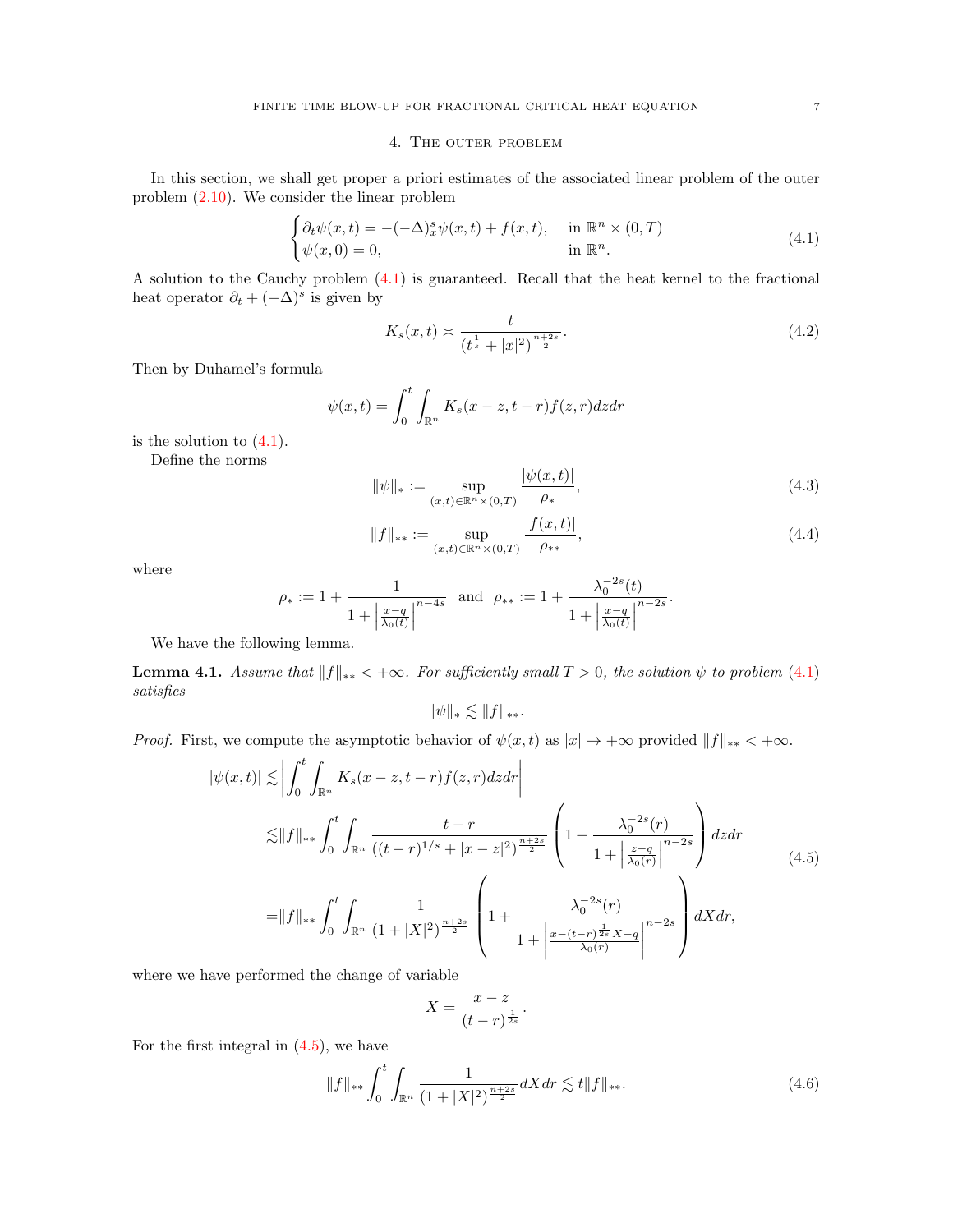## 4. The outer problem

<span id="page-6-0"></span>In this section, we shall get proper a priori estimates of the associated linear problem of the outer problem [\(2.10\)](#page-4-2). We consider the linear problem

<span id="page-6-1"></span>
$$
\begin{cases} \partial_t \psi(x,t) = -(-\Delta)_x^s \psi(x,t) + f(x,t), & \text{in } \mathbb{R}^n \times (0,T) \\ \psi(x,0) = 0, & \text{in } \mathbb{R}^n. \end{cases}
$$
 (4.1)

A solution to the Cauchy problem [\(4.1\)](#page-6-1) is guaranteed. Recall that the heat kernel to the fractional heat operator  $\partial_t + (-\Delta)^s$  is given by

<span id="page-6-6"></span>
$$
K_s(x,t) \asymp \frac{t}{(t^{\frac{1}{s}} + |x|^2)^{\frac{n+2s}{2}}}.\tag{4.2}
$$

Then by Duhamel's formula

$$
\psi(x,t) = \int_0^t \int_{\mathbb{R}^n} K_s(x-z,t-r) f(z,r) dz dr
$$

is the solution to  $(4.1)$ .

Define the norms

<span id="page-6-4"></span>
$$
\|\psi\|_{*} := \sup_{(x,t)\in\mathbb{R}^n \times (0,T)} \frac{|\psi(x,t)|}{\rho_{*}},
$$
\n(4.3)

<span id="page-6-5"></span>
$$
||f||_{**} := \sup_{(x,t)\in\mathbb{R}^n\times(0,T)} \frac{|f(x,t)|}{\rho_{**}},\tag{4.4}
$$

where

$$
\rho_* := 1 + \frac{1}{1 + \left| \frac{x - q}{\lambda_0(t)} \right|^{n - 4s}} \text{ and } \rho_{**} := 1 + \frac{\lambda_0^{-2s}(t)}{1 + \left| \frac{x - q}{\lambda_0(t)} \right|^{n - 2s}}.
$$

We have the following lemma.

<span id="page-6-7"></span>**Lemma 4.1.** Assume that  $||f||_{**} < +\infty$ . For sufficiently small  $T > 0$ , the solution  $\psi$  to problem [\(4.1\)](#page-6-1) satisfies

$$
\|\psi\|_{*} \lesssim \|f\|_{**}.
$$

*Proof.* First, we compute the asymptotic behavior of  $\psi(x, t)$  as  $|x| \to +\infty$  provided  $||f||_{**} < +\infty$ .

<span id="page-6-2"></span>
$$
|\psi(x,t)| \lesssim \left| \int_0^t \int_{\mathbb{R}^n} K_s(x-z,t-r) f(z,r) dz dr \right|
$$
  
\n
$$
\lesssim ||f||_{**} \int_0^t \int_{\mathbb{R}^n} \frac{t-r}{((t-r)^{1/s} + |x-z|^2)^{\frac{n+2s}{2}}} \left(1 + \frac{\lambda_0^{-2s}(r)}{1 + \left|\frac{z-q}{\lambda_0(r)}\right|^{n-2s}}\right) dz dr
$$
  
\n
$$
= ||f||_{**} \int_0^t \int_{\mathbb{R}^n} \frac{1}{(1+|X|^2)^{\frac{n+2s}{2}}} \left(1 + \frac{\lambda_0^{-2s}(r)}{1 + \left|\frac{z-(t-r)^{\frac{1}{2s}}X-q}{\lambda_0(r)}\right|^{n-2s}}\right) dX dr,
$$
\n(4.5)

where we have performed the change of variable

$$
X = \frac{x - z}{(t - r)^{\frac{1}{2s}}}.
$$

For the first integral in  $(4.5)$ , we have

<span id="page-6-3"></span>
$$
||f||_{**} \int_0^t \int_{\mathbb{R}^n} \frac{1}{(1+|X|^2)^{\frac{n+2s}{2}}} dX dr \lesssim t ||f||_{**}.
$$
 (4.6)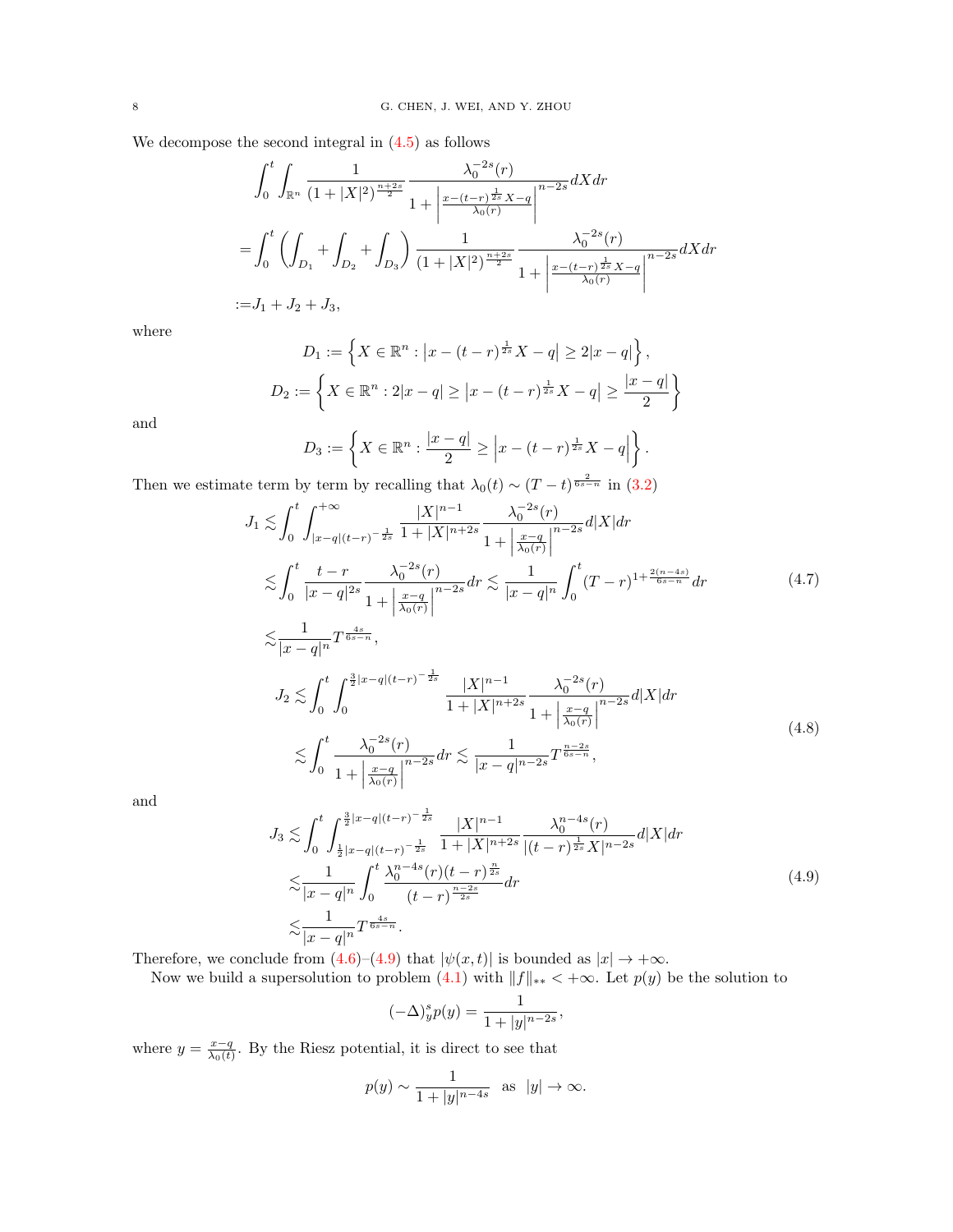We decompose the second integral in  $(4.5)$  as follows

$$
\int_0^t \int_{\mathbb{R}^n} \frac{1}{(1+|X|^2)^{\frac{n+2s}{2}}} \frac{\lambda_0^{-2s}(r)}{1+\left|\frac{x-(t-r)^{\frac{1}{2s}}X-q}{\lambda_0(r)}\right|^{n-2s}} dX dr
$$
  
= 
$$
\int_0^t \left(\int_{D_1} + \int_{D_2} + \int_{D_3}\right) \frac{1}{(1+|X|^2)^{\frac{n+2s}{2}}} \frac{\lambda_0^{-2s}(r)}{1+\left|\frac{x-(t-r)^{\frac{1}{2s}}X-q}{\lambda_0(r)}\right|^{n-2s}} dX dr
$$
  
:= 
$$
J_1 + J_2 + J_3,
$$

where

$$
D_1 := \left\{ X \in \mathbb{R}^n : \left| x - (t - r)^{\frac{1}{2s}} X - q \right| \ge 2|x - q| \right\},
$$
  

$$
D_2 := \left\{ X \in \mathbb{R}^n : 2|x - q| \ge |x - (t - r)^{\frac{1}{2s}} X - q| \ge \frac{|x - q|}{2} \right\}
$$

and

$$
D_3 := \left\{ X \in \mathbb{R}^n : \frac{|x-q|}{2} \geq \left| x - (t-r)^{\frac{1}{2s}} X - q \right| \right\}.
$$

Then we estimate term by term by recalling that  $\lambda_0(t) \sim (T-t)^{\frac{2}{6s-n}}$  in [\(3.2\)](#page-5-1)

$$
J_{1} \lesssim \int_{0}^{t} \int_{|x-q|(t-r)^{-\frac{1}{2s}}}^{+\infty} \frac{|X|^{n-1}}{1+|X|^{n+2s}} \frac{\lambda_{0}^{-2s}(r)}{1+|\frac{x-q}{\lambda_{0}(r)}|^{n-2s}} d|X| dr
$$
  
\n
$$
\lesssim \int_{0}^{t} \frac{t-r}{|x-q|^{2s}} \frac{\lambda_{0}^{-2s}(r)}{1+|\frac{x-q}{\lambda_{0}(r)}|^{n-2s}} dr \lesssim \frac{1}{|x-q|^{n}} \int_{0}^{t} (T-r)^{1+\frac{2(n-4s)}{6s-n}} dr
$$
  
\n
$$
\lesssim \frac{1}{|x-q|^{n}} T^{\frac{4s}{6s-n}},
$$
  
\n
$$
J_{2} \lesssim \int_{0}^{t} \int_{0}^{\frac{3}{2}|x-q|(t-r)^{-\frac{1}{2s}}} \frac{|X|^{n-1}}{1+|X|^{n+2s}} \frac{\lambda_{0}^{-2s}(r)}{1+|\frac{x-q}{\lambda_{0}(r)}|^{n-2s}} d|X| dr
$$
  
\n
$$
\lesssim \int_{0}^{t} \frac{\lambda_{0}^{-2s}(r)}{1+|x-q|^{n-2s}} dr \lesssim \frac{1}{|x-q|^{n-2s}} T^{\frac{n-2s}{6s-n}},
$$
  
\n(4.8)

and

<span id="page-7-0"></span>
$$
J_3 \lesssim \int_0^t \int_{\frac{1}{2}|x-q|(t-r)^{-\frac{1}{2s}}}^{\frac{3}{2}|x-q|(t-r)^{-\frac{1}{2s}}} \frac{|X|^{n-1}}{1+|X|^{n+2s}} \frac{\lambda_0^{n-4s}(r)}{|(t-r)^{\frac{1}{2s}} X|^{n-2s}} d|X| dr
$$
  

$$
\lesssim \frac{1}{|x-q|^n} \int_0^t \frac{\lambda_0^{n-4s}(r)(t-r)^{\frac{n}{2s}}}{(t-r)^{\frac{n-2s}{2s}}} dr
$$
  

$$
\lesssim \frac{1}{|x-q|^n} T^{\frac{4s}{6s-n}}.
$$
 (4.9)

Therefore, we conclude from  $(4.6)$ – $(4.9)$  that  $|\psi(x,t)|$  is bounded as  $|x| \to +\infty$ .

Now we build a supersolution to problem  $(4.1)$  with  $||f||_{**} < +\infty$ . Let  $p(y)$  be the solution to

$$
(-\Delta)^s_y p(y) = \frac{1}{1+|y|^{n-2s}},
$$

where  $y = \frac{x-q}{\lambda_0(t)}$ . By the Riesz potential, it is direct to see that

0

 $1 + \Big|$ 

 $\frac{x-q}{\lambda_0(r)}$ 

$$
p(y) \sim \frac{1}{1+|y|^{n-4s}}
$$
 as  $|y| \to \infty$ .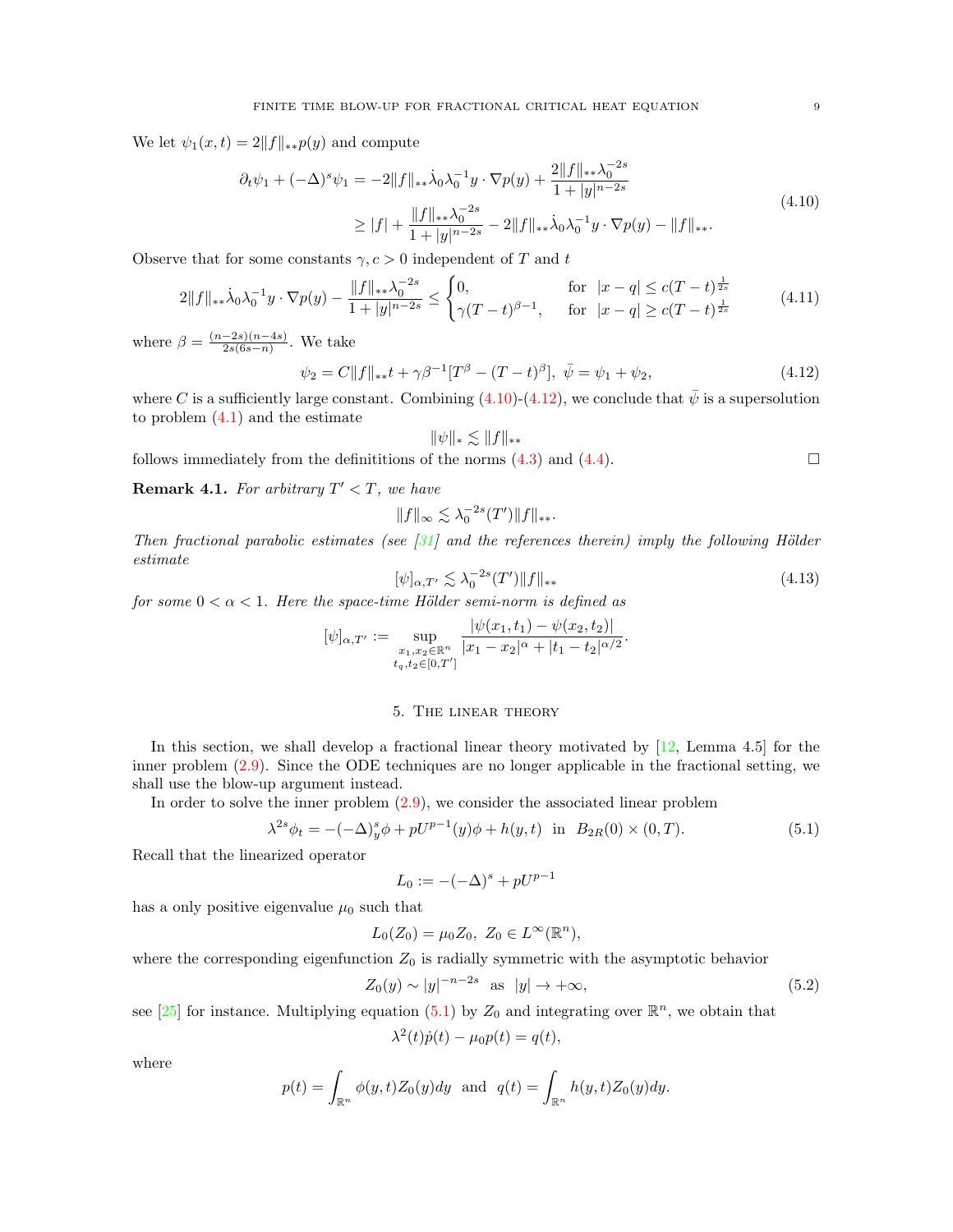We let  $\psi_1(x,t) = 2||f||_{\ast\ast}p(y)$  and compute

<span id="page-8-1"></span>
$$
\partial_t \psi_1 + (-\Delta)^s \psi_1 = -2||f||_{**}\dot{\lambda}_0 \lambda_0^{-1} y \cdot \nabla p(y) + \frac{2||f||_{**}\lambda_0^{-2s}}{1+|y|^{n-2s}} \geq |f| + \frac{||f||_{**}\lambda_0^{-2s}}{1+|y|^{n-2s}} - 2||f||_{**}\dot{\lambda}_0 \lambda_0^{-1} y \cdot \nabla p(y) - ||f||_{**}.
$$
\n(4.10)

Observe that for some constants  $\gamma, c > 0$  independent of T and t

$$
2\|f\|_{**}\dot{\lambda}_0\lambda_0^{-1}y\cdot\nabla p(y) - \frac{\|f\|_{**}\lambda_0^{-2s}}{1+|y|^{n-2s}} \le \begin{cases} 0, & \text{for } |x-q| \le c(T-t)^{\frac{1}{2s}}\\ \gamma(T-t)^{\beta-1}, & \text{for } |x-q| \ge c(T-t)^{\frac{1}{2s}} \end{cases} \tag{4.11}
$$

where  $\beta = \frac{(n-2s)(n-4s)}{2s(6s-n)}$  $\frac{-2s(n-4s)}{2s(6s-n)}$ . We take

<span id="page-8-2"></span>
$$
\psi_2 = C||f||_{**}t + \gamma \beta^{-1} [T^{\beta} - (T - t)^{\beta}], \ \bar{\psi} = \psi_1 + \psi_2, \tag{4.12}
$$

where C is a sufficiently large constant. Combining  $(4.10)-(4.12)$  $(4.10)-(4.12)$  $(4.10)-(4.12)$ , we conclude that  $\psi$  is a supersolution to problem [\(4.1\)](#page-6-1) and the estimate

follows immediately from the definitions of the norms (4.3) and (4.4). 
$$
\Box
$$

**Remark 4.1.** For arbitrary  $T' < T$ , we have

$$
||f||_{\infty} \lesssim \lambda_0^{-2s}(T')||f||_{**}.
$$

Then fractional parabolic estimates (see  $[31]$  and the references therein) imply the following Hölder estimate

<span id="page-8-5"></span>
$$
[\psi]_{\alpha,T'} \lesssim \lambda_0^{-2s}(T') \|f\|_{**} \tag{4.13}
$$

for some  $0 < \alpha < 1$ . Here the space-time Hölder semi-norm is defined as

$$
[\psi]_{\alpha,T'} := \sup_{\substack{x_1,x_2 \in \mathbb{R}^n \\ t_q,t_2 \in [0,T']} } \frac{|\psi(x_1,t_1) - \psi(x_2,t_2)|}{|x_1 - x_2|^{\alpha} + |t_1 - t_2|^{\alpha/2}}.
$$

## 5. The linear theory

<span id="page-8-0"></span>In this section, we shall develop a fractional linear theory motivated by  $[12]$ , Lemma 4.5 for the inner problem [\(2.9\)](#page-4-1). Since the ODE techniques are no longer applicable in the fractional setting, we shall use the blow-up argument instead.

In order to solve the inner problem [\(2.9\)](#page-4-1), we consider the associated linear problem

<span id="page-8-3"></span>
$$
\lambda^{2s}\phi_t = -(-\Delta)^s_y \phi + pU^{p-1}(y)\phi + h(y, t) \text{ in } B_{2R}(0) \times (0, T). \tag{5.1}
$$

Recall that the linearized operator

$$
L_0 := -(-\Delta)^s + pU^{p-1}
$$

has a only positive eigenvalue  $\mu_0$  such that

$$
L_0(Z_0) = \mu_0 Z_0, \ Z_0 \in L^{\infty}(\mathbb{R}^n),
$$

where the corresponding eigenfunction  $Z_0$  is radially symmetric with the asymptotic behavior

<span id="page-8-4"></span>
$$
Z_0(y) \sim |y|^{-n-2s} \quad \text{as} \quad |y| \to +\infty,\tag{5.2}
$$

see [\[25\]](#page-20-24) for instance. Multiplying equation [\(5.1\)](#page-8-3) by  $Z_0$  and integrating over  $\mathbb{R}^n$ , we obtain that

$$
\lambda^{2}(t)\dot{p}(t) - \mu_{0}p(t) = q(t),
$$

where

$$
p(t) = \int_{\mathbb{R}^n} \phi(y, t) Z_0(y) dy \text{ and } q(t) = \int_{\mathbb{R}^n} h(y, t) Z_0(y) dy.
$$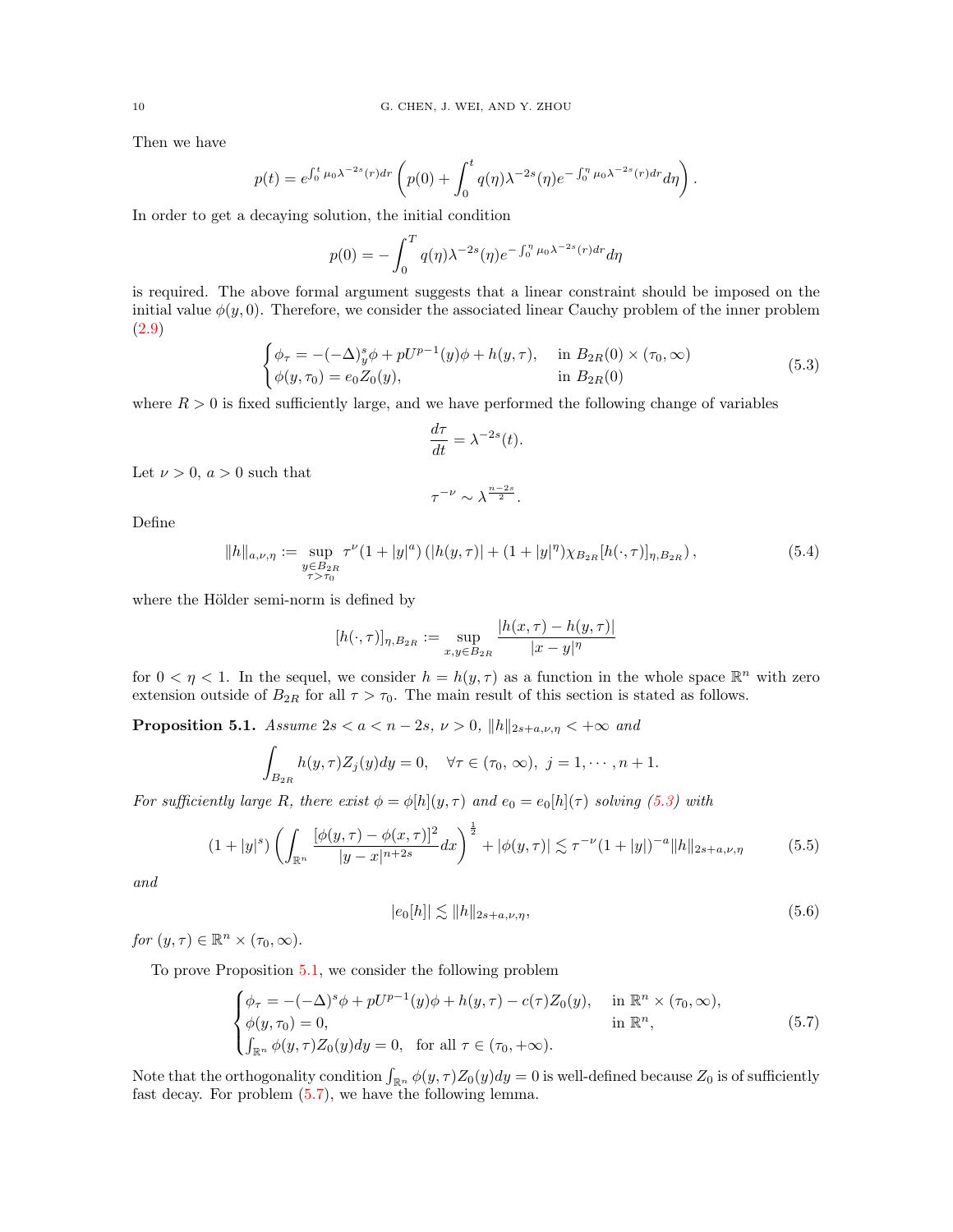Then we have

$$
p(t) = e^{\int_0^t \mu_0 \lambda^{-2s}(r) dr} \left( p(0) + \int_0^t q(\eta) \lambda^{-2s}(\eta) e^{-\int_0^{\eta} \mu_0 \lambda^{-2s}(r) dr} d\eta \right).
$$

In order to get a decaying solution, the initial condition

$$
p(0) = -\int_0^T q(\eta) \lambda^{-2s}(\eta) e^{-\int_0^{\eta} \mu_0 \lambda^{-2s}(r) dr} d\eta
$$

is required. The above formal argument suggests that a linear constraint should be imposed on the initial value  $\phi(y, 0)$ . Therefore, we consider the associated linear Cauchy problem of the inner problem [\(2.9\)](#page-4-1)

<span id="page-9-0"></span>
$$
\begin{cases}\n\phi_{\tau} = -(-\Delta)^s_y \phi + pU^{p-1}(y)\phi + h(y, \tau), & \text{in } B_{2R}(0) \times (\tau_0, \infty) \\
\phi(y, \tau_0) = e_0 Z_0(y), & \text{in } B_{2R}(0)\n\end{cases}
$$
\n(5.3)

where  $R > 0$  is fixed sufficiently large, and we have performed the following change of variables

$$
\frac{d\tau}{dt} = \lambda^{-2s}(t).
$$

Let  $\nu > 0$ ,  $a > 0$  such that

$$
\tau^{-\nu} \sim \lambda^{\frac{n-2s}{2}}.
$$

Define

$$
||h||_{a,\nu,\eta} := \sup_{\substack{y \in B_{2R} \\ \tau > \tau_0}} \tau^{\nu} (1 + |y|^a) \left( |h(y,\tau)| + (1 + |y|^{\eta}) \chi_{B_{2R}} [h(\cdot,\tau)]_{\eta,B_{2R}} \right),
$$
\n(5.4)

where the Hölder semi-norm is defined by

$$
[h(\cdot,\tau)]_{\eta,B_{2R}} := \sup_{x,y \in B_{2R}} \frac{|h(x,\tau) - h(y,\tau)|}{|x - y|^{\eta}}
$$

for  $0 < \eta < 1$ . In the sequel, we consider  $h = h(y, \tau)$  as a function in the whole space  $\mathbb{R}^n$  with zero extension outside of  $B_{2R}$  for all  $\tau > \tau_0$ . The main result of this section is stated as follows.

<span id="page-9-1"></span>**Proposition 5.1.** Assume  $2s < a < n-2s$ ,  $\nu > 0$ ,  $||h||_{2s+a,\nu,\eta} < +\infty$  and

$$
\int_{B_{2R}} h(y,\tau)Z_j(y)dy = 0, \quad \forall \tau \in (\tau_0, \infty), \ j = 1, \cdots, n+1.
$$

For sufficiently large R, there exist  $\phi = \phi[h](y, \tau)$  and  $e_0 = e_0[h](\tau)$  solving [\(5.3\)](#page-9-0) with

<span id="page-9-3"></span>
$$
(1+|y|^s)\left(\int_{\mathbb{R}^n}\frac{[\phi(y,\tau)-\phi(x,\tau)]^2}{|y-x|^{n+2s}}dx\right)^{\frac{1}{2}}+|\phi(y,\tau)|\lesssim \tau^{-\nu}(1+|y|)^{-a}\|h\|_{2s+a,\nu,\eta}
$$
(5.5)

and

<span id="page-9-4"></span>
$$
|e_0[h]| \lesssim ||h||_{2s+a,\nu,\eta},\tag{5.6}
$$

for  $(y, \tau) \in \mathbb{R}^n \times (\tau_0, \infty)$ .

To prove Proposition [5.1,](#page-9-1) we consider the following problem

<span id="page-9-2"></span>
$$
\begin{cases}\n\phi_{\tau} = -(-\Delta)^s \phi + pU^{p-1}(y)\phi + h(y,\tau) - c(\tau)Z_0(y), & \text{in } \mathbb{R}^n \times (\tau_0, \infty), \\
\phi(y,\tau_0) = 0, & \text{in } \mathbb{R}^n, \\
\int_{\mathbb{R}^n} \phi(y,\tau)Z_0(y)dy = 0, & \text{for all } \tau \in (\tau_0, +\infty).\n\end{cases}
$$
\n(5.7)

Note that the orthogonality condition  $\int_{\mathbb{R}^n} \phi(y,\tau) Z_0(y) dy = 0$  is well-defined because  $Z_0$  is of sufficiently fast decay. For problem [\(5.7\)](#page-9-2), we have the following lemma.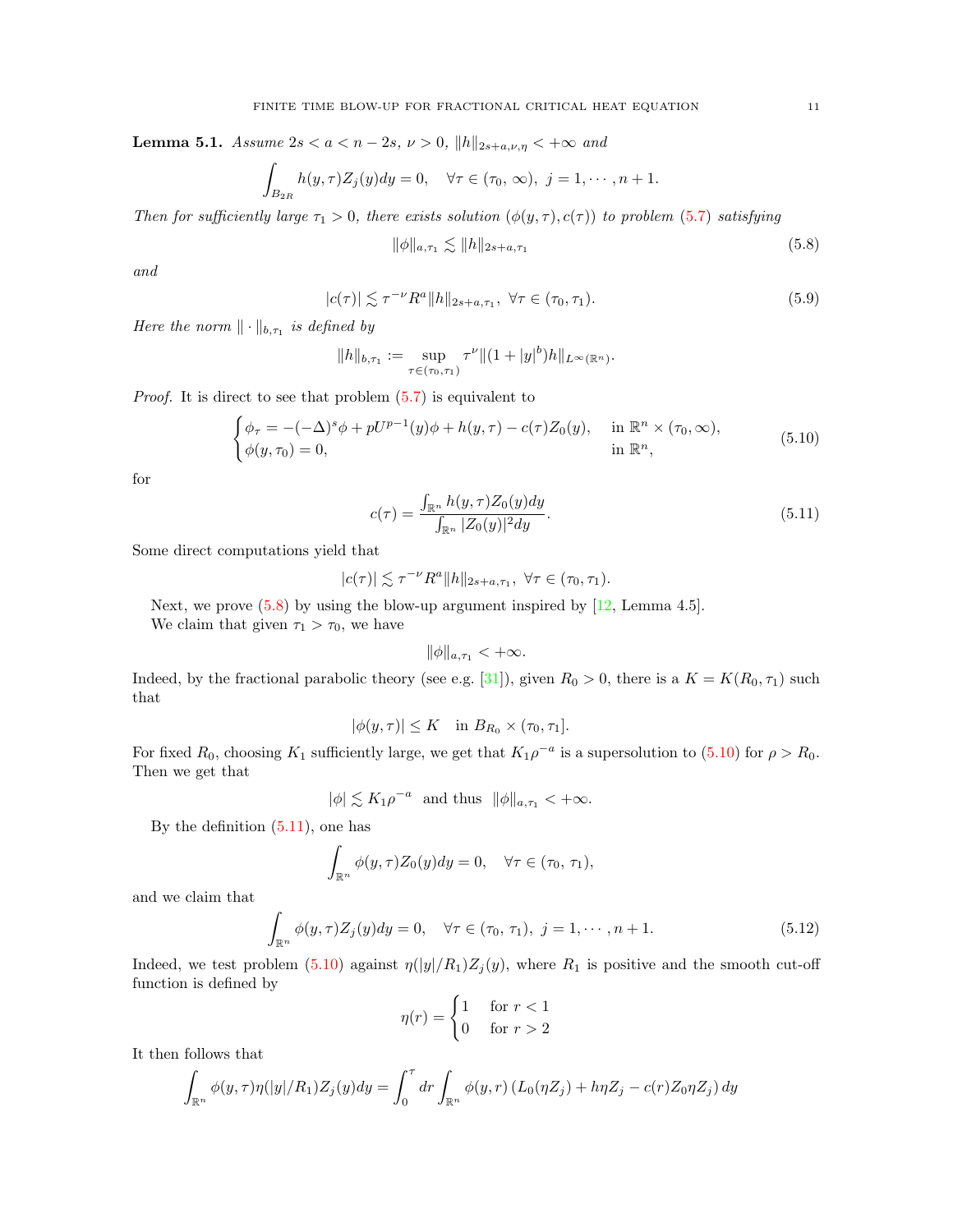<span id="page-10-5"></span>**Lemma 5.1.** Assume  $2s < a < n-2s$ ,  $\nu > 0$ ,  $||h||_{2s+a,\nu,\eta} < +\infty$  and

$$
\int_{B_{2R}} h(y,\tau)Z_j(y)dy = 0, \quad \forall \tau \in (\tau_0, \infty), \ j = 1, \cdots, n+1.
$$

Then for sufficiently large  $\tau_1 > 0$ , there exists solution  $(\phi(y, \tau), c(\tau))$  to problem [\(5.7\)](#page-9-2) satisfying

<span id="page-10-0"></span>
$$
\|\phi\|_{a,\tau_1} \lesssim \|h\|_{2s+a,\tau_1} \tag{5.8}
$$

and

<span id="page-10-4"></span>
$$
|c(\tau)| \lesssim \tau^{-\nu} R^a \|h\|_{2s+a,\tau_1}, \ \forall \tau \in (\tau_0, \tau_1). \tag{5.9}
$$

Here the norm  $\|\cdot\|_{b,\tau_1}$  is defined by

$$
||h||_{b,\tau_1} := \sup_{\tau \in (\tau_0,\tau_1)} \tau^{\nu} ||(1+|y|^b)h||_{L^{\infty}(\mathbb{R}^n)}.
$$

*Proof.* It is direct to see that problem  $(5.7)$  is equivalent to

<span id="page-10-1"></span>
$$
\begin{cases}\n\phi_{\tau} = -(-\Delta)^s \phi + pU^{p-1}(y)\phi + h(y,\tau) - c(\tau)Z_0(y), & \text{in } \mathbb{R}^n \times (\tau_0, \infty), \\
\phi(y,\tau_0) = 0, & \text{in } \mathbb{R}^n,\n\end{cases}
$$
\n(5.10)

for

<span id="page-10-2"></span>
$$
c(\tau) = \frac{\int_{\mathbb{R}^n} h(y, \tau) Z_0(y) dy}{\int_{\mathbb{R}^n} |Z_0(y)|^2 dy}.
$$
\n(5.11)

Some direct computations yield that

$$
|c(\tau)| \lesssim \tau^{-\nu} R^a \|h\|_{2s+a,\tau_1}, \ \forall \tau \in (\tau_0,\tau_1).
$$

Next, we prove  $(5.8)$  by using the blow-up argument inspired by  $[12, \text{Lemma } 4.5]$  $[12, \text{Lemma } 4.5]$ .

We claim that given  $\tau_1 > \tau_0$ , we have

$$
\|\phi\|_{a,\tau_1} < +\infty.
$$

Indeed, by the fractional parabolic theory (see e.g. [\[31\]](#page-21-16)), given  $R_0 > 0$ , there is a  $K = K(R_0, \tau_1)$  such that

$$
|\phi(y,\tau)| \leq K \quad \text{in } B_{R_0} \times (\tau_0, \tau_1].
$$

For fixed  $R_0$ , choosing  $K_1$  sufficiently large, we get that  $K_1 \rho^{-a}$  is a supersolution to  $(5.10)$  for  $\rho > R_0$ . Then we get that

 $|\phi| \lesssim K_1 \rho^{-a}$  and thus  $\|\phi\|_{a,\tau_1} < +\infty$ .

By the definition [\(5.11\)](#page-10-2), one has

$$
\int_{\mathbb{R}^n} \phi(y,\tau) Z_0(y) dy = 0, \quad \forall \tau \in (\tau_0, \tau_1),
$$

and we claim that

<span id="page-10-3"></span>
$$
\int_{\mathbb{R}^n} \phi(y,\tau) Z_j(y) dy = 0, \quad \forall \tau \in (\tau_0, \tau_1), \ j = 1, \cdots, n+1.
$$
 (5.12)

Indeed, we test problem [\(5.10\)](#page-10-1) against  $\eta(|y|/R_1)Z_j(y)$ , where  $R_1$  is positive and the smooth cut-off function is defined by

$$
\eta(r) = \begin{cases} 1 & \text{for } r < 1 \\ 0 & \text{for } r > 2 \end{cases}
$$

It then follows that

$$
\int_{\mathbb{R}^n} \phi(y,\tau)\eta(|y|/R_1)Z_j(y)dy = \int_0^{\tau} dr \int_{\mathbb{R}^n} \phi(y,\tau) \left( L_0(\eta Z_j) + h\eta Z_j - c(\tau)Z_0\eta Z_j \right)dy
$$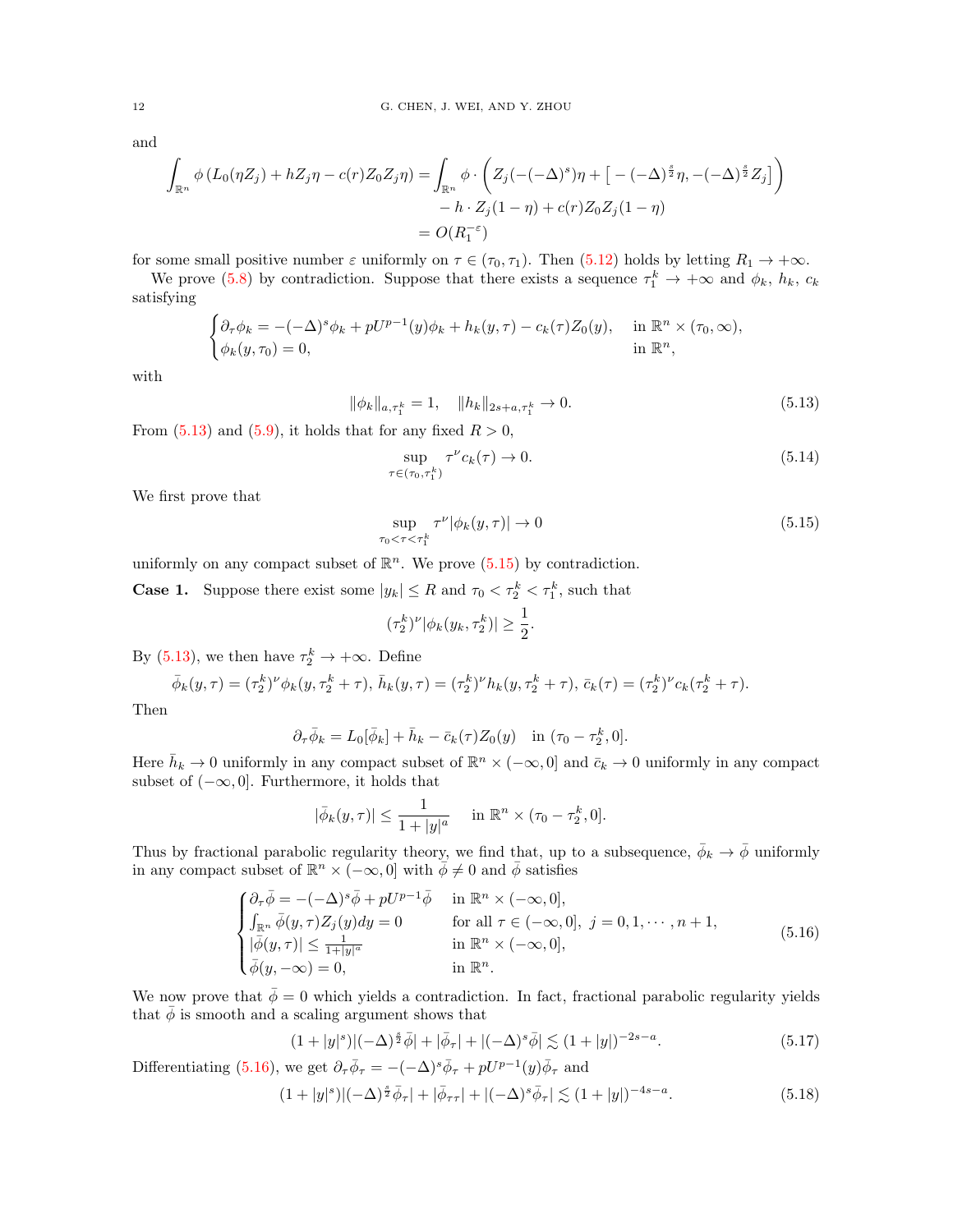and

$$
\int_{\mathbb{R}^n} \phi(L_0(\eta Z_j) + hZ_j\eta - c(r)Z_0Z_j\eta) = \int_{\mathbb{R}^n} \phi \cdot \left( Z_j(-( - \Delta)^s)\eta + \left[ -(-\Delta)^{\frac{s}{2}}\eta, -(-\Delta)^{\frac{s}{2}}Z_j \right] \right) - h \cdot Z_j(1 - \eta) + c(r)Z_0Z_j(1 - \eta)
$$

$$
= O(R_1^{-\epsilon})
$$

for some small positive number  $\varepsilon$  uniformly on  $\tau \in (\tau_0, \tau_1)$ . Then [\(5.12\)](#page-10-3) holds by letting  $R_1 \to +\infty$ .

We prove [\(5.8\)](#page-10-0) by contradiction. Suppose that there exists a sequence  $\tau_1^k \to +\infty$  and  $\phi_k$ ,  $h_k$ ,  $c_k$ satisfying

$$
\begin{cases} \partial_{\tau}\phi_k = -(-\Delta)^s \phi_k + pU^{p-1}(y)\phi_k + h_k(y,\tau) - c_k(\tau)Z_0(y), & \text{in } \mathbb{R}^n \times (\tau_0, \infty), \\ \phi_k(y,\tau_0) = 0, & \text{in } \mathbb{R}^n, \end{cases}
$$

with

<span id="page-11-0"></span>
$$
\|\phi_k\|_{a,\tau_1^k} = 1, \quad \|h_k\|_{2s+a,\tau_1^k} \to 0. \tag{5.13}
$$

From  $(5.13)$  and  $(5.9)$ , it holds that for any fixed  $R > 0$ ,

<span id="page-11-5"></span>
$$
\sup_{\tau \in (\tau_0, \tau_1^k)} \tau^{\nu} c_k(\tau) \to 0. \tag{5.14}
$$

We first prove that

<span id="page-11-1"></span>
$$
\sup_{\tau_0 < \tau < \tau_1^k} \tau^{\nu} |\phi_k(y, \tau)| \to 0 \tag{5.15}
$$

uniformly on any compact subset of  $\mathbb{R}^n$ . We prove [\(5.15\)](#page-11-1) by contradiction.

**Case 1.** Suppose there exist some  $|y_k| \leq R$  and  $\tau_0 < \tau_2^k < \tau_1^k$ , such that

$$
(\tau_2^k)^{\nu} |\phi_k(y_k, \tau_2^k)| \ge \frac{1}{2}.
$$

By [\(5.13\)](#page-11-0), we then have  $\tau_2^k \to +\infty$ . Define

<span id="page-11-2"></span>
$$
\bar{\phi}_k(y,\tau) = (\tau_2^k)^{\nu} \phi_k(y,\tau_2^k + \tau), \ \bar{h}_k(y,\tau) = (\tau_2^k)^{\nu} h_k(y,\tau_2^k + \tau), \ \bar{c}_k(\tau) = (\tau_2^k)^{\nu} c_k(\tau_2^k + \tau).
$$

Then

$$
\partial_{\tau}\overline{\phi}_k = L_0[\overline{\phi}_k] + \overline{h}_k - \overline{c}_k(\tau)Z_0(y) \quad \text{in } (\tau_0 - \tau_2^k, 0].
$$

Here  $\bar{h}_k \to 0$  uniformly in any compact subset of  $\mathbb{R}^n \times (-\infty, 0]$  and  $\bar{c}_k \to 0$  uniformly in any compact subset of  $(-\infty, 0]$ . Furthermore, it holds that

$$
|\bar{\phi}_k(y,\tau)| \le \frac{1}{1+|y|^a}
$$
 in  $\mathbb{R}^n \times (\tau_0 - \tau_2^k, 0].$ 

Thus by fractional parabolic regularity theory, we find that, up to a subsequence,  $\bar{\phi}_k \to \bar{\phi}$  uniformly in any compact subset of  $\mathbb{R}^n \times (-\infty, 0]$  with  $\phi \neq 0$  and  $\bar{\phi}$  satisfies

$$
\begin{cases}\n\partial_{\tau}\bar{\phi} = -(-\Delta)^{s}\bar{\phi} + pU^{p-1}\bar{\phi} & \text{in } \mathbb{R}^{n} \times (-\infty, 0], \\
\int_{\mathbb{R}^{n}} \bar{\phi}(y, \tau) Z_{j}(y) dy = 0 & \text{for all } \tau \in (-\infty, 0], \ j = 0, 1, \cdots, n+1, \\
|\bar{\phi}(y, \tau)| \leq \frac{1}{1+|y|^{a}} & \text{in } \mathbb{R}^{n} \times (-\infty, 0], \\
\bar{\phi}(y, -\infty) = 0, & \text{in } \mathbb{R}^{n}.\n\end{cases}
$$
\n(5.16)

We now prove that  $\bar{\phi} = 0$  which yields a contradiction. In fact, fractional parabolic regularity yields that  $\bar{\phi}$  is smooth and a scaling argument shows that

<span id="page-11-3"></span>
$$
(1+|y|^s)|(-\Delta)^{\frac{s}{2}}\bar{\phi}|+|\bar{\phi}_{\tau}|+|(-\Delta)^s\bar{\phi}| \lesssim (1+|y|)^{-2s-a}.\tag{5.17}
$$

Differentiating [\(5.16\)](#page-11-2), we get  $\partial_{\tau} \bar{\phi}_{\tau} = -(-\Delta)^s \bar{\phi}_{\tau} + pU^{p-1}(y)\bar{\phi}_{\tau}$  and

<span id="page-11-4"></span>
$$
(1+|y|^s)|(-\Delta)^{\frac{s}{2}}\bar{\phi}_{\tau}|+|\bar{\phi}_{\tau\tau}|+|(-\Delta)^s\bar{\phi}_{\tau}| \lesssim (1+|y|)^{-4s-a}.\tag{5.18}
$$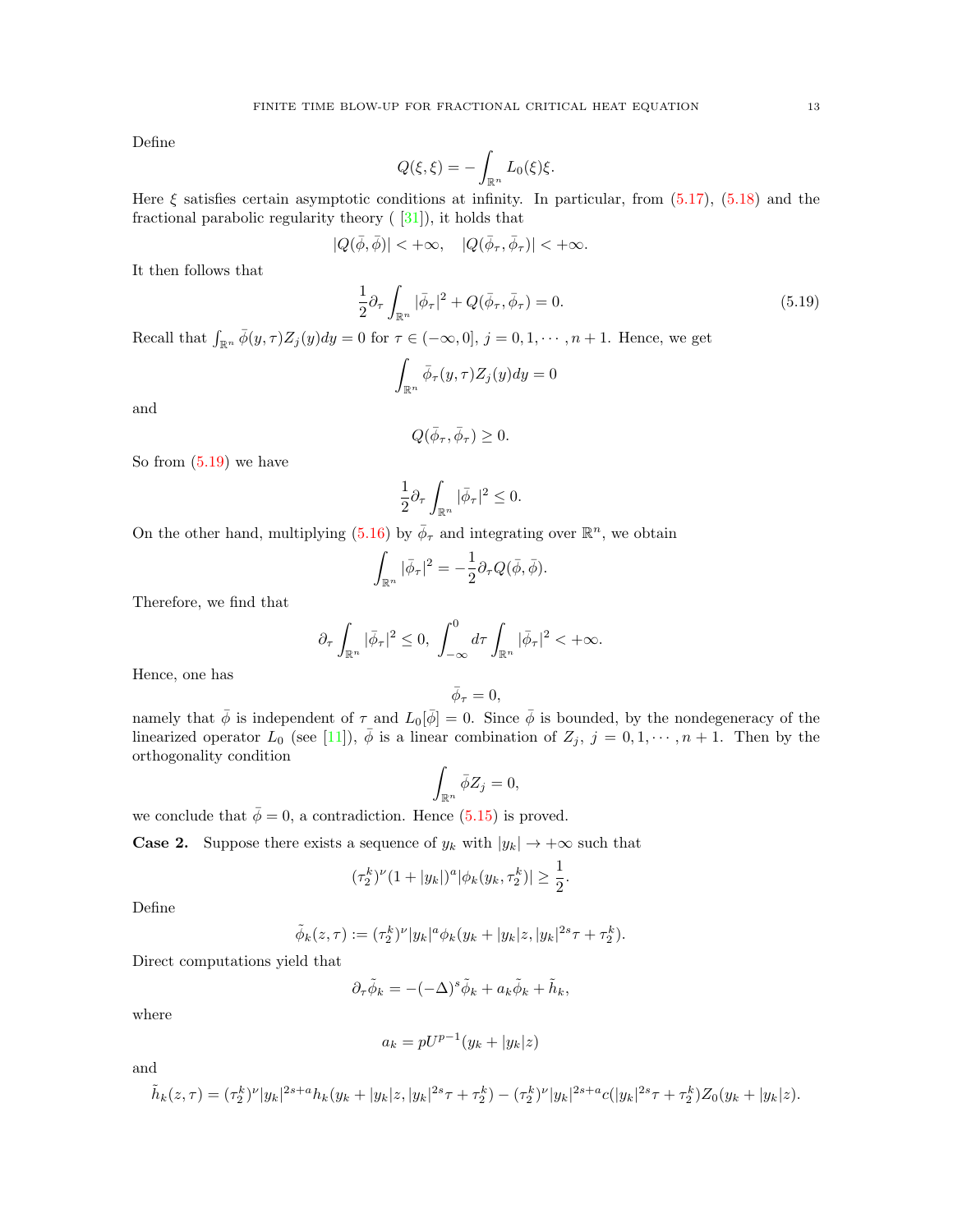Define

$$
Q(\xi,\xi) = -\int_{\mathbb{R}^n} L_0(\xi)\xi.
$$

Here  $\xi$  satisfies certain asymptotic conditions at infinity. In particular, from [\(5.17\)](#page-11-3), [\(5.18\)](#page-11-4) and the fractional parabolic regularity theory  $(31)$ , it holds that

$$
|Q(\bar\phi,\bar\phi)|<+\infty,\quad |Q(\bar\phi_\tau,\bar\phi_\tau)|<+\infty.
$$

It then follows that

<span id="page-12-0"></span>
$$
\frac{1}{2}\partial_{\tau}\int_{\mathbb{R}^n}|\bar{\phi}_{\tau}|^2 + Q(\bar{\phi}_{\tau}, \bar{\phi}_{\tau}) = 0.
$$
\n(5.19)

Recall that  $\int_{\mathbb{R}^n} \bar{\phi}(y, \tau) Z_j(y) dy = 0$  for  $\tau \in (-\infty, 0], j = 0, 1, \dots, n + 1$ . Hence, we get

$$
\int_{\mathbb{R}^n} \bar{\phi}_\tau(y,\tau) Z_j(y) dy = 0
$$

and

$$
Q(\bar{\phi}_{\tau}, \bar{\phi}_{\tau}) \geq 0.
$$

So from [\(5.19\)](#page-12-0) we have

$$
\frac{1}{2}\partial_\tau\int_{\mathbb{R}^n}|\bar{\phi}_\tau|^2\leq 0.
$$

On the other hand, multiplying  $(5.16)$  by  $\bar{\phi}_{\tau}$  and integrating over  $\mathbb{R}^n$ , we obtain

$$
\int_{\mathbb{R}^n} |\bar{\phi}_\tau|^2 = -\frac{1}{2} \partial_\tau Q(\bar{\phi}, \bar{\phi}).
$$

Therefore, we find that

$$
\partial_{\tau} \int_{\mathbb{R}^n} |\bar{\phi}_{\tau}|^2 \leq 0, \int_{-\infty}^0 d\tau \int_{\mathbb{R}^n} |\bar{\phi}_{\tau}|^2 < +\infty.
$$

Hence, one has

$$
\bar{\phi}_{\tau}=0,
$$

namely that  $\bar{\phi}$  is independent of  $\tau$  and  $L_0[\bar{\phi}] = 0$ . Since  $\bar{\phi}$  is bounded, by the nondegeneracy of the linearized operator  $L_0$  (see [\[11\]](#page-20-25)),  $\overline{\phi}$  is a linear combination of  $Z_j$ ,  $j = 0, 1, \dots, n + 1$ . Then by the orthogonality condition

$$
\int_{\mathbb{R}^n} \bar{\phi} Z_j = 0,
$$

we conclude that  $\bar{\phi} = 0$ , a contradiction. Hence [\(5.15\)](#page-11-1) is proved.

**Case 2.** Suppose there exists a sequence of  $y_k$  with  $|y_k| \to +\infty$  such that

$$
(\tau_2^k)^{\nu}(1+|y_k|)^a|\phi_k(y_k,\tau_2^k)| \geq \frac{1}{2}.
$$

Define

$$
\tilde{\phi}_k(z,\tau) := (\tau_2^k)^{\nu} |y_k|^a \phi_k(y_k + |y_k|z, |y_k|^{2s} \tau + \tau_2^k).
$$

Direct computations yield that

$$
\partial_{\tau}\tilde{\phi}_k = -(-\Delta)^s \tilde{\phi}_k + a_k \tilde{\phi}_k + \tilde{h}_k,
$$

where

$$
a_k = pU^{p-1}(y_k + |y_k|z)
$$

and

$$
\tilde{h}_k(z,\tau) = (\tau_2^k)^{\nu} |y_k|^{2s+a} h_k(y_k + |y_k|z, |y_k|^{2s}\tau + \tau_2^k) - (\tau_2^k)^{\nu} |y_k|^{2s+a} c(|y_k|^{2s}\tau + \tau_2^k) Z_0(y_k + |y_k|z).
$$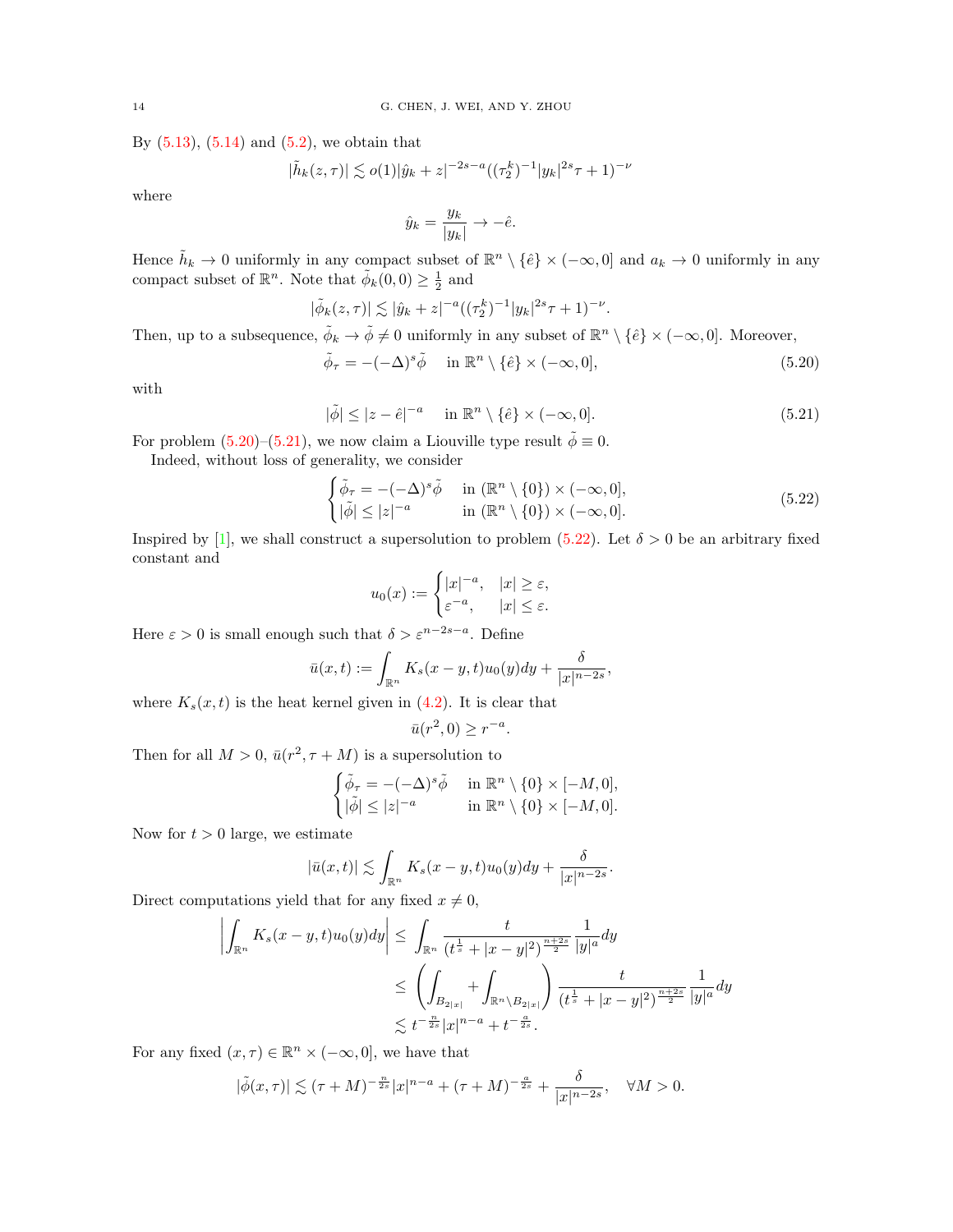By  $(5.13)$ ,  $(5.14)$  and  $(5.2)$ , we obtain that

$$
|\tilde{h}_k(z,\tau)| \lesssim o(1)|\hat{y}_k+z|^{-2s-a}((\tau_2^k)^{-1}|y_k|^{2s}\tau+1)^{-\nu}
$$

where

$$
\hat{y}_k = \frac{y_k}{|y_k|} \to -\hat{e}.
$$

Hence  $\tilde{h}_k \to 0$  uniformly in any compact subset of  $\mathbb{R}^n \setminus {\hat{e}} \times (-\infty, 0]$  and  $a_k \to 0$  uniformly in any compact subset of  $\mathbb{R}^n$ . Note that  $\tilde{\phi}_k(0,0) \geq \frac{1}{2}$  and

$$
|\tilde{\phi}_k(z,\tau)| \lesssim |\hat{y}_k + z|^{-a} \left( (\tau_2^k)^{-1} |y_k|^{2s} \tau + 1 \right)^{-\nu}.
$$

Then, up to a subsequence,  $\tilde{\phi}_k \to \tilde{\phi} \neq 0$  uniformly in any subset of  $\mathbb{R}^n \setminus {\hat{e}} \times (-\infty, 0]$ . Moreover,

<span id="page-13-0"></span>
$$
\tilde{\phi}_{\tau} = -(-\Delta)^s \tilde{\phi} \quad \text{in } \mathbb{R}^n \setminus \{\hat{e}\} \times (-\infty, 0], \tag{5.20}
$$

with

<span id="page-13-1"></span>
$$
|\tilde{\phi}| \le |z - \hat{e}|^{-a} \quad \text{in } \mathbb{R}^n \setminus \{\hat{e}\} \times (-\infty, 0]. \tag{5.21}
$$

For problem [\(5.20\)](#page-13-0)–[\(5.21\)](#page-13-1), we now claim a Liouville type result  $\tilde{\phi} \equiv 0$ .

Indeed, without loss of generality, we consider

<span id="page-13-2"></span>
$$
\begin{cases} \tilde{\phi}_{\tau} = -(-\Delta)^{s} \tilde{\phi} & \text{in } (\mathbb{R}^{n} \setminus \{0\}) \times (-\infty, 0], \\ |\tilde{\phi}| \le |z|^{-a} & \text{in } (\mathbb{R}^{n} \setminus \{0\}) \times (-\infty, 0]. \end{cases}
$$
\n(5.22)

Inspired by [\[1\]](#page-20-26), we shall construct a supersolution to problem [\(5.22\)](#page-13-2). Let  $\delta > 0$  be an arbitrary fixed constant and

$$
u_0(x) := \begin{cases} |x|^{-a}, & |x| \ge \varepsilon, \\ \varepsilon^{-a}, & |x| \le \varepsilon. \end{cases}
$$

Here  $\varepsilon > 0$  is small enough such that  $\delta > \varepsilon^{n-2s-a}$ . Define

$$
\bar{u}(x,t) := \int_{\mathbb{R}^n} K_s(x-y,t)u_0(y)dy + \frac{\delta}{|x|^{n-2s}},
$$

where  $K_s(x, t)$  is the heat kernel given in [\(4.2\)](#page-6-6). It is clear that

$$
\bar{u}(r^2,0) \ge r^{-a}.
$$

Then for all  $M > 0$ ,  $\bar{u}(r^2, \tau + M)$  is a supersolution to

$$
\begin{cases} \tilde{\phi}_{\tau} = -(-\Delta)^s \tilde{\phi} & \text{in } \mathbb{R}^n \setminus \{0\} \times [-M, 0], \\ |\tilde{\phi}| \le |z|^{-a} & \text{in } \mathbb{R}^n \setminus \{0\} \times [-M, 0]. \end{cases}
$$

Now for  $t > 0$  large, we estimate

$$
|\bar{u}(x,t)| \lesssim \int_{\mathbb{R}^n} K_s(x-y,t)u_0(y)dy + \frac{\delta}{|x|^{n-2s}}.
$$

Direct computations yield that for any fixed  $x \neq 0$ ,

$$
\left| \int_{\mathbb{R}^n} K_s(x - y, t) u_0(y) dy \right| \leq \int_{\mathbb{R}^n} \frac{t}{(t^{\frac{1}{s}} + |x - y|^2)^{\frac{n+2s}{2}}} \frac{1}{|y|^a} dy
$$
  
\n
$$
\leq \left( \int_{B_{2|x|}} + \int_{\mathbb{R}^n \setminus B_{2|x|}} \right) \frac{t}{(t^{\frac{1}{s}} + |x - y|^2)^{\frac{n+2s}{2}}} \frac{1}{|y|^a} dy
$$
  
\n
$$
\lesssim t^{-\frac{n}{2s}} |x|^{n-a} + t^{-\frac{a}{2s}}.
$$

For any fixed  $(x, \tau) \in \mathbb{R}^n \times (-\infty, 0]$ , we have that

$$
|\tilde{\phi}(x,\tau)| \lesssim (\tau + M)^{-\frac{n}{2s}} |x|^{n-a} + (\tau + M)^{-\frac{a}{2s}} + \frac{\delta}{|x|^{n-2s}}, \quad \forall M > 0.
$$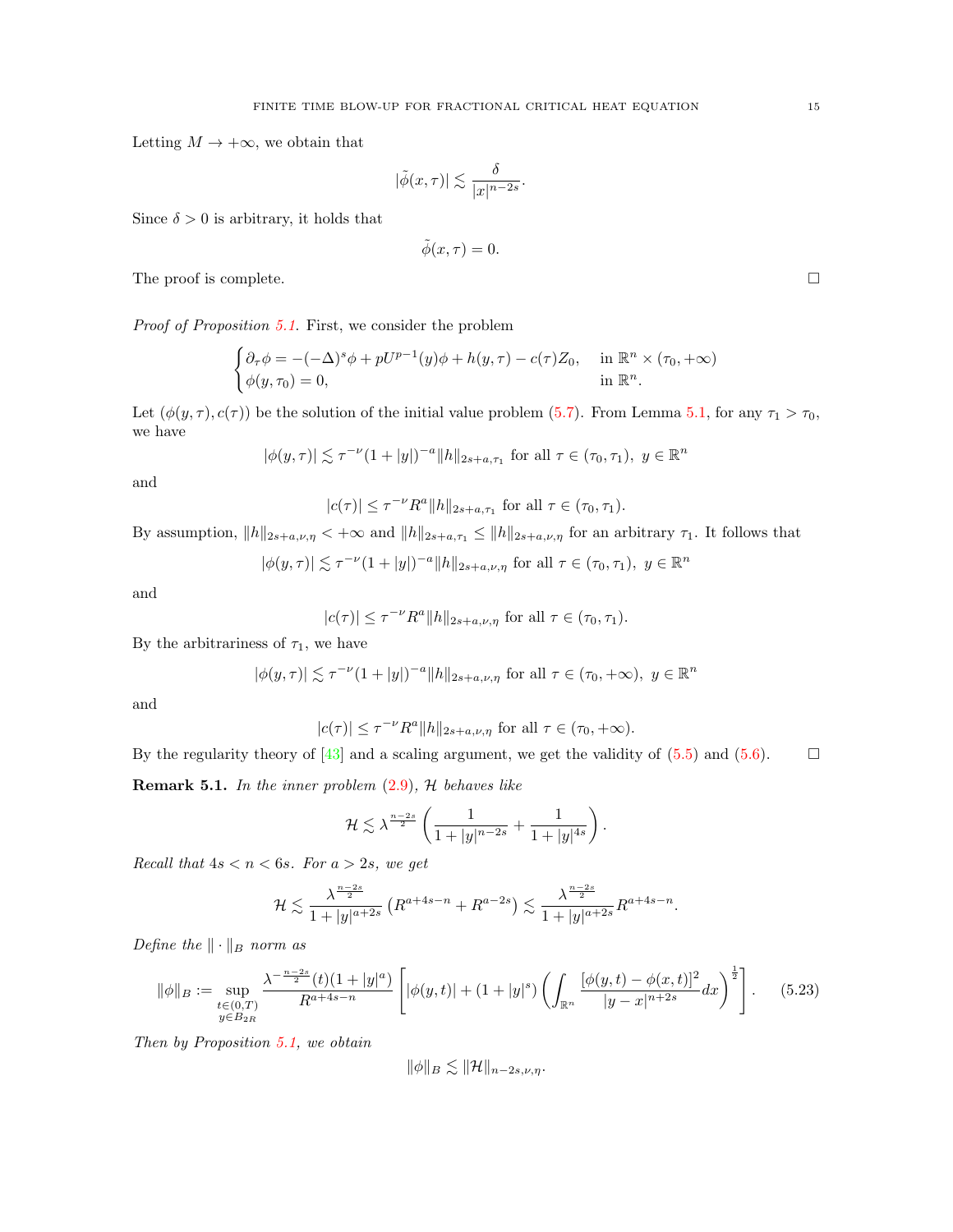Letting  $M \to +\infty$ , we obtain that

$$
|\tilde{\phi}(x,\tau)| \lesssim \frac{\delta}{|x|^{n-2s}}.
$$

Since  $\delta > 0$  is arbitrary, it holds that

$$
\tilde{\phi}(x,\tau)=0.
$$

The proof is complete.  $\Box$ 

Proof of Proposition [5.1](#page-9-1). First, we consider the problem

$$
\begin{cases} \partial_{\tau}\phi = -(-\Delta)^s \phi + pU^{p-1}(y)\phi + h(y,\tau) - c(\tau)Z_0, & \text{in } \mathbb{R}^n \times (\tau_0, +\infty) \\ \phi(y,\tau_0) = 0, & \text{in } \mathbb{R}^n. \end{cases}
$$

Let  $(\phi(y, \tau), c(\tau))$  be the solution of the initial value problem [\(5.7\)](#page-9-2). From Lemma [5.1,](#page-10-5) for any  $\tau_1 > \tau_0$ , we have

$$
|\phi(y,\tau)| \lesssim \tau^{-\nu} (1+|y|)^{-a} ||h||_{2s+a,\tau_1}
$$
 for all  $\tau \in (\tau_0, \tau_1), y \in \mathbb{R}^n$ 

and

$$
|c(\tau)| \le \tau^{-\nu} R^a ||h||_{2s+a,\tau_1}
$$
 for all  $\tau \in (\tau_0, \tau_1)$ .

By assumption,  $||h||_{2s+a,\nu,\eta} < +\infty$  and  $||h||_{2s+a,\tau_1} \le ||h||_{2s+a,\nu,\eta}$  for an arbitrary  $\tau_1$ . It follows that

$$
|\phi(y,\tau)| \lesssim \tau^{-\nu} (1+|y|)^{-a} ||h||_{2s+a,\nu,\eta}
$$
 for all  $\tau \in (\tau_0, \tau_1)$ ,  $y \in \mathbb{R}^n$ 

and

$$
|c(\tau)| \leq \tau^{-\nu} R^a ||h||_{2s+a,\nu,\eta} \text{ for all } \tau \in (\tau_0,\tau_1).
$$

By the arbitrariness of  $\tau_1$ , we have

$$
|\phi(y,\tau)| \lesssim \tau^{-\nu} (1+|y|)^{-a} \|h\|_{2s+a,\nu,\eta} \text{ for all } \tau \in (\tau_0,+\infty), \ y \in \mathbb{R}^n
$$

and

$$
|c(\tau)| \le \tau^{-\nu} R^a ||h||_{2s+a,\nu,\eta} \text{ for all } \tau \in (\tau_0,+\infty).
$$

By the regularity theory of [\[43\]](#page-21-17) and a scaling argument, we get the validity of  $(5.5)$  and  $(5.6)$ .  $\Box$ 

**Remark 5.1.** In the inner problem  $(2.9)$ ,  $H$  behaves like

$$
\mathcal{H} \lesssim \lambda^{\frac{n-2s}{2}} \left( \frac{1}{1+|y|^{n-2s}} + \frac{1}{1+|y|^{4s}} \right).
$$

Recall that  $4s < n < 6s$ . For  $a > 2s$ , we get

$$
\mathcal{H} \lesssim \frac{\lambda^{\frac{n-2s}{2}}}{1+|y|^{a+2s}} \left( R^{a+4s-n} + R^{a-2s} \right) \lesssim \frac{\lambda^{\frac{n-2s}{2}}}{1+|y|^{a+2s}} R^{a+4s-n}
$$

.

Define the  $\|\cdot\|_B$  norm as

<span id="page-14-0"></span>
$$
\|\phi\|_{B} := \sup_{\substack{t \in (0,T) \\ y \in B_{2R}}} \frac{\lambda^{-\frac{n-2s}{2}}(t)(1+|y|^a)}{R^{a+4s-n}} \left[ |\phi(y,t)| + (1+|y|^s) \left( \int_{\mathbb{R}^n} \frac{[\phi(y,t) - \phi(x,t)]^2}{|y-x|^{n+2s}} dx \right)^{\frac{1}{2}} \right].
$$
 (5.23)

Then by Proposition [5.1,](#page-9-1) we obtain

$$
\|\phi\|_B \lesssim \|\mathcal{H}\|_{n-2s,\nu,\eta}.
$$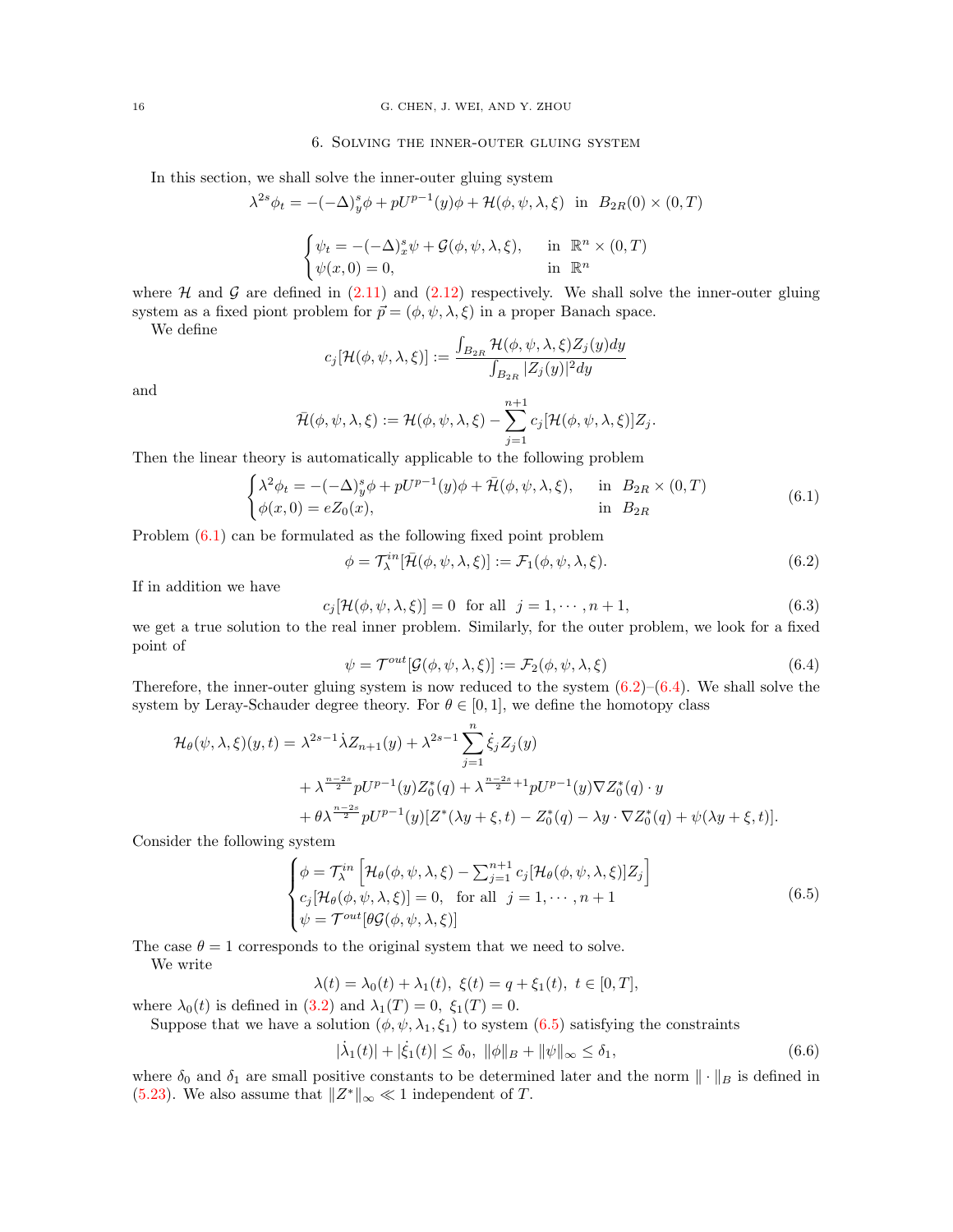#### 6. Solving the inner-outer gluing system

<span id="page-15-0"></span>In this section, we shall solve the inner-outer gluing system

$$
\lambda^{2s}\phi_t = -(-\Delta)^s y \phi + pU^{p-1}(y)\phi + \mathcal{H}(\phi, \psi, \lambda, \xi) \text{ in } B_{2R}(0) \times (0, T)
$$

$$
\begin{cases} \psi_t = -(-\Delta)_x^s \psi + \mathcal{G}(\phi, \psi, \lambda, \xi), & \text{in } \mathbb{R}^n \times (0, T) \\ \psi(x, 0) = 0, & \text{in } \mathbb{R}^n \end{cases}
$$

where  $H$  and  $G$  are defined in [\(2.11\)](#page-4-3) and [\(2.12\)](#page-4-4) respectively. We shall solve the inner-outer gluing system as a fixed piont problem for  $\vec{p} = (\phi, \psi, \lambda, \xi)$  in a proper Banach space.

We define

$$
c_j[\mathcal{H}(\phi, \psi, \lambda, \xi)] := \frac{\int_{B_{2R}} \mathcal{H}(\phi, \psi, \lambda, \xi) Z_j(y) dy}{\int_{B_{2R}} |Z_j(y)|^2 dy}
$$

and

$$
\bar{\mathcal{H}}(\phi,\psi,\lambda,\xi) := \mathcal{H}(\phi,\psi,\lambda,\xi) - \sum_{j=1}^{n+1} c_j [\mathcal{H}(\phi,\psi,\lambda,\xi)] Z_j.
$$

Then the linear theory is automatically applicable to the following problem

<span id="page-15-1"></span>
$$
\begin{cases} \lambda^2 \phi_t = -(-\Delta)^s_y \phi + pU^{p-1}(y)\phi + \bar{\mathcal{H}}(\phi, \psi, \lambda, \xi), & \text{in } B_{2R} \times (0, T) \\ \phi(x, 0) = eZ_0(x), & \text{in } B_{2R} \end{cases}
$$
(6.1)

Problem [\(6.1\)](#page-15-1) can be formulated as the following fixed point problem

<span id="page-15-2"></span>
$$
\phi = \mathcal{T}_{\lambda}^{in}[\bar{\mathcal{H}}(\phi, \psi, \lambda, \xi)] := \mathcal{F}_{1}(\phi, \psi, \lambda, \xi).
$$
\n(6.2)

If in addition we have

$$
c_j[\mathcal{H}(\phi,\psi,\lambda,\xi)] = 0 \quad \text{for all} \quad j = 1,\cdots,n+1,\tag{6.3}
$$

we get a true solution to the real inner problem. Similarly, for the outer problem, we look for a fixed point of

<span id="page-15-3"></span>
$$
\psi = \mathcal{T}^{out}[\mathcal{G}(\phi, \psi, \lambda, \xi)] := \mathcal{F}_2(\phi, \psi, \lambda, \xi)
$$
\n(6.4)

Therefore, the inner-outer gluing system is now reduced to the system  $(6.2)$ – $(6.4)$ . We shall solve the system by Leray-Schauder degree theory. For  $\theta \in [0, 1]$ , we define the homotopy class

$$
\mathcal{H}_{\theta}(\psi,\lambda,\xi)(y,t) = \lambda^{2s-1} \dot{\lambda} Z_{n+1}(y) + \lambda^{2s-1} \sum_{j=1}^{n} \dot{\xi}_{j} Z_{j}(y) \n+ \lambda^{\frac{n-2s}{2}} pU^{p-1}(y) Z_{0}^{*}(q) + \lambda^{\frac{n-2s}{2}+1} pU^{p-1}(y) \nabla Z_{0}^{*}(q) \cdot y \n+ \theta \lambda^{\frac{n-2s}{2}} pU^{p-1}(y) [Z^{*}(\lambda y + \xi, t) - Z_{0}^{*}(q) - \lambda y \cdot \nabla Z_{0}^{*}(q) + \psi(\lambda y + \xi, t)].
$$

Consider the following system

<span id="page-15-4"></span>
$$
\begin{cases}\n\phi = \mathcal{T}_{\lambda}^{in} \left[ \mathcal{H}_{\theta}(\phi, \psi, \lambda, \xi) - \sum_{j=1}^{n+1} c_{j} [\mathcal{H}_{\theta}(\phi, \psi, \lambda, \xi)] Z_{j} \right] \\
c_{j} [\mathcal{H}_{\theta}(\phi, \psi, \lambda, \xi)] = 0, \quad \text{for all} \quad j = 1, \cdots, n+1 \\
\psi = \mathcal{T}^{out} [\theta \mathcal{G}(\phi, \psi, \lambda, \xi)]\n\end{cases}
$$
\n(6.5)

The case  $\theta = 1$  corresponds to the original system that we need to solve.

We write

$$
\lambda(t) = \lambda_0(t) + \lambda_1(t), \ \xi(t) = q + \xi_1(t), \ t \in [0, T],
$$

where  $\lambda_0(t)$  is defined in [\(3.2\)](#page-5-1) and  $\lambda_1(T) = 0$ ,  $\xi_1(T) = 0$ .

Suppose that we have a solution  $(\phi, \psi, \lambda_1, \xi_1)$  to system  $(6.5)$  satisfying the constraints

<span id="page-15-5"></span>
$$
|\dot{\lambda}_1(t)| + |\dot{\xi}_1(t)| \le \delta_0, \quad \|\phi\|_{\mathcal{B}} + \|\psi\|_{\infty} \le \delta_1,\tag{6.6}
$$

where  $\delta_0$  and  $\delta_1$  are small positive constants to be determined later and the norm  $\|\cdot\|_B$  is defined in [\(5.23\)](#page-14-0). We also assume that  $||Z^*||_{\infty} \ll 1$  independent of T.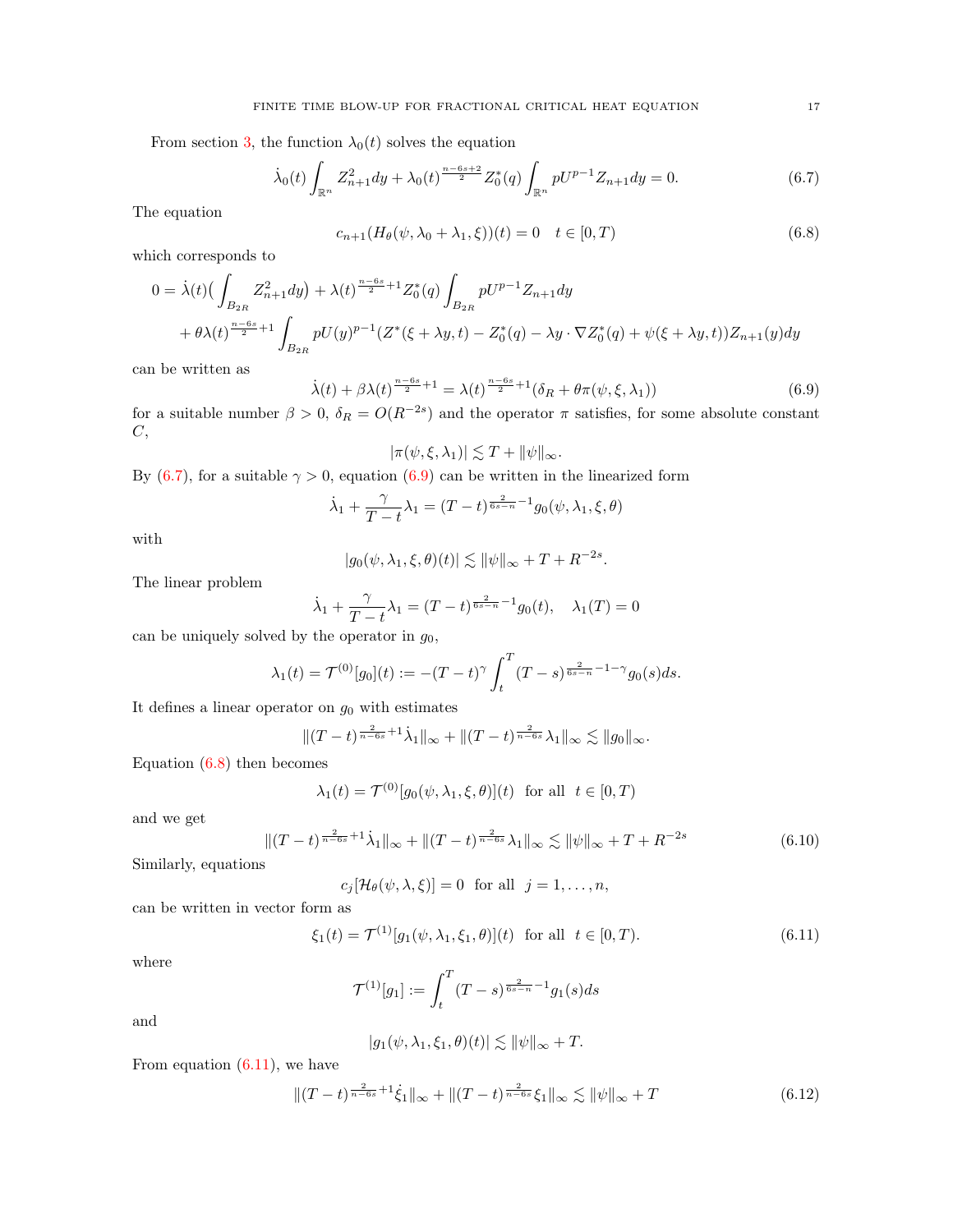From section [3,](#page-5-0) the function  $\lambda_0(t)$  solves the equation

<span id="page-16-0"></span>
$$
\dot{\lambda}_0(t) \int_{\mathbb{R}^n} Z_{n+1}^2 dy + \lambda_0(t)^{\frac{n-6s+2}{2}} Z_0^*(q) \int_{\mathbb{R}^n} pU^{p-1} Z_{n+1} dy = 0.
$$
 (6.7)

The equation

<span id="page-16-2"></span>
$$
c_{n+1}(H_{\theta}(\psi,\lambda_0+\lambda_1,\xi))(t) = 0 \quad t \in [0,T)
$$
\n(6.8)

which corresponds to

$$
0 = \dot{\lambda}(t) \left( \int_{B_{2R}} Z_{n+1}^2 dy \right) + \lambda(t)^{\frac{n-6s}{2}+1} Z_0^*(q) \int_{B_{2R}} pU^{p-1} Z_{n+1} dy + \theta \lambda(t)^{\frac{n-6s}{2}+1} \int_{B_{2R}} pU(y)^{p-1} (Z^*(\xi + \lambda y, t) - Z_0^*(q) - \lambda y \cdot \nabla Z_0^*(q) + \psi(\xi + \lambda y, t)) Z_{n+1}(y) dy
$$

can be written as

<span id="page-16-1"></span>
$$
\dot{\lambda}(t) + \beta \lambda(t)^{\frac{n-6s}{2}+1} = \lambda(t)^{\frac{n-6s}{2}+1} (\delta_R + \theta \pi(\psi, \xi, \lambda_1))
$$
(6.9)

for a suitable number  $\beta > 0$ ,  $\delta_R = O(R^{-2s})$  and the operator  $\pi$  satisfies, for some absolute constant  $C,$ 

$$
|\pi(\psi,\xi,\lambda_1)| \lesssim T + \|\psi\|_{\infty}.
$$

By [\(6.7\)](#page-16-0), for a suitable  $\gamma > 0$ , equation [\(6.9\)](#page-16-1) can be written in the linearized form

$$
\dot{\lambda}_1 + \frac{\gamma}{T-t} \lambda_1 = (T-t)^{\frac{2}{6s-n}-1} g_0(\psi, \lambda_1, \xi, \theta)
$$

with

$$
|g_0(\psi, \lambda_1, \xi, \theta)(t)| \lesssim \|\psi\|_{\infty} + T + R^{-2s}.
$$

The linear problem

$$
\dot{\lambda}_1 + \frac{\gamma}{T-t} \lambda_1 = (T-t)^{\frac{2}{6s-n}-1} g_0(t), \quad \lambda_1(T) = 0
$$

can be uniquely solved by the operator in  $g_0$ ,

$$
\lambda_1(t) = \mathcal{T}^{(0)}[g_0](t) := -(T-t)^{\gamma} \int_t^T (T-s)^{\frac{2}{6s-n}-1-\gamma} g_0(s) ds.
$$

It defines a linear operator on  $g_0$  with estimates

$$
||(T-t)^{\frac{2}{n-6s}+1}\dot{\lambda}_1||_{\infty} + ||(T-t)^{\frac{2}{n-6s}}\lambda_1||_{\infty} \lesssim ||g_0||_{\infty}.
$$

Equation [\(6.8\)](#page-16-2) then becomes

$$
\lambda_1(t) = \mathcal{T}^{(0)}[g_0(\psi, \lambda_1, \xi, \theta)](t) \text{ for all } t \in [0, T)
$$

and we get

<span id="page-16-4"></span>
$$
\|(T-t)^{\frac{2}{n-6s}+1}\dot{\lambda}_1\|_{\infty} + \|(T-t)^{\frac{2}{n-6s}}\lambda_1\|_{\infty} \lesssim \|\psi\|_{\infty} + T + R^{-2s}
$$
(6.10)

Similarly, equations

 $c_j[\mathcal{H}_{\theta}(\psi, \lambda, \xi)] = 0$  for all  $j = 1, \ldots, n$ ,

can be written in vector form as

<span id="page-16-3"></span>
$$
\xi_1(t) = \mathcal{T}^{(1)}[g_1(\psi, \lambda_1, \xi_1, \theta)](t) \text{ for all } t \in [0, T). \tag{6.11}
$$

where

$$
\mathcal{T}^{(1)}[g_1] := \int_t^T (T - s)^{\frac{2}{6s - n} - 1} g_1(s) ds
$$

and

$$
|g_1(\psi, \lambda_1, \xi_1, \theta)(t)| \lesssim \|\psi\|_{\infty} + T.
$$

From equation  $(6.11)$ , we have

$$
\|(T-t)^{\frac{2}{n-6s}+1}\dot{\xi}_1\|_{\infty} + \|(T-t)^{\frac{2}{n-6s}}\xi_1\|_{\infty} \lesssim \|\psi\|_{\infty} + T
$$
\n(6.12)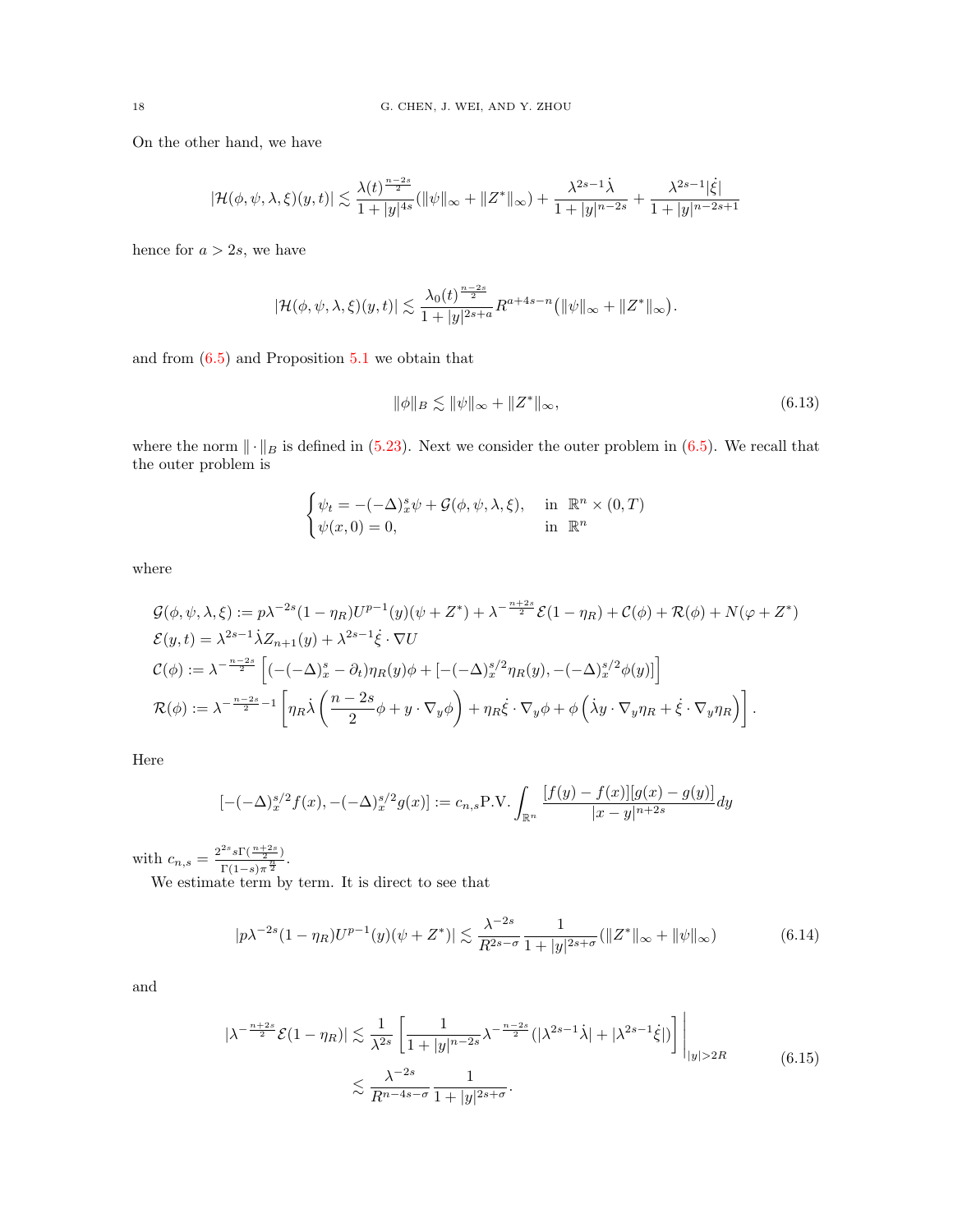On the other hand, we have

$$
|\mathcal{H}(\phi,\psi,\lambda,\xi)(y,t)|\lesssim \frac{\lambda(t)^{\frac{n-2s}{2}}}{1+|y|^{4s}}(\|\psi\|_{\infty}+\|Z^*\|_{\infty})+\frac{\lambda^{2s-1}\dot{\lambda}}{1+|y|^{n-2s}}+\frac{\lambda^{2s-1}|\dot{\xi}|}{1+|y|^{n-2s+1}}
$$

hence for  $a > 2s$ , we have

$$
|\mathcal{H}(\phi,\psi,\lambda,\xi)(y,t)| \lesssim \frac{\lambda_0(t)^{\frac{n-2s}{2}}}{1+|y|^{2s+a}} R^{a+4s-n} \big( \|\psi\|_{\infty} + \|Z^*\|_{\infty} \big).
$$

and from [\(6.5\)](#page-15-4) and Proposition [5.1](#page-9-1) we obtain that

<span id="page-17-1"></span>
$$
\|\phi\|_{B} \lesssim \|\psi\|_{\infty} + \|Z^*\|_{\infty},\tag{6.13}
$$

where the norm  $\|\cdot\|_B$  is defined in [\(5.23\)](#page-14-0). Next we consider the outer problem in [\(6.5\)](#page-15-4). We recall that the outer problem is

$$
\begin{cases} \psi_t = -(-\Delta)_x^s \psi + \mathcal{G}(\phi, \psi, \lambda, \xi), & \text{in } \mathbb{R}^n \times (0, T) \\ \psi(x, 0) = 0, & \text{in } \mathbb{R}^n \end{cases}
$$

where

$$
\mathcal{G}(\phi, \psi, \lambda, \xi) := p\lambda^{-2s} (1 - \eta_R) U^{p-1}(y) (\psi + Z^*) + \lambda^{-\frac{n+2s}{2}} \mathcal{E}(1 - \eta_R) + \mathcal{C}(\phi) + \mathcal{R}(\phi) + N(\varphi + Z^*)
$$
  
\n
$$
\mathcal{E}(y, t) = \lambda^{2s-1} \dot{\lambda} Z_{n+1}(y) + \lambda^{2s-1} \dot{\xi} \cdot \nabla U
$$
  
\n
$$
\mathcal{C}(\phi) := \lambda^{-\frac{n-2s}{2}} \left[ (-(-\Delta)_x^s - \partial_t) \eta_R(y) \phi + [-(-\Delta)_x^{s/2} \eta_R(y), -(-\Delta)_x^{s/2} \phi(y)] \right]
$$
  
\n
$$
\mathcal{R}(\phi) := \lambda^{-\frac{n-2s}{2} - 1} \left[ \eta_R \dot{\lambda} \left( \frac{n-2s}{2} \phi + y \cdot \nabla_y \phi \right) + \eta_R \dot{\xi} \cdot \nabla_y \phi + \phi \left( \dot{\lambda} y \cdot \nabla_y \eta_R + \dot{\xi} \cdot \nabla_y \eta_R \right) \right].
$$

Here

$$
[-(-\Delta)_x^{s/2} f(x), -(-\Delta)_x^{s/2} g(x)] := c_{n,s} \text{P.V.} \int_{\mathbb{R}^n} \frac{[f(y) - f(x)][g(x) - g(y)]}{|x - y|^{n+2s}} dy
$$

with  $c_{n,s} = \frac{2^{2s} s \Gamma(\frac{n+2s}{2})}{\Gamma(1-s) \frac{n}{2}}$  $\frac{s_1\left(-\frac{1}{2}\right)}{\Gamma(1-s)\pi^{\frac{n}{2}}}.$ 

We estimate term by term. It is direct to see that

<span id="page-17-0"></span>
$$
|p\lambda^{-2s}(1-\eta_R)U^{p-1}(y)(\psi + Z^*)| \lesssim \frac{\lambda^{-2s}}{R^{2s-\sigma}} \frac{1}{1+|y|^{2s+\sigma}}(\|Z^*\|_{\infty} + \|\psi\|_{\infty})
$$
(6.14)

and

$$
|\lambda^{-\frac{n+2s}{2}}\mathcal{E}(1-\eta_R)| \lesssim \frac{1}{\lambda^{2s}} \left[ \frac{1}{1+|y|^{n-2s}} \lambda^{-\frac{n-2s}{2}} (|\lambda^{2s-1}\dot{\lambda}| + |\lambda^{2s-1}\dot{\xi}|) \right] \Big|_{|y|>2R} \tag{6.15}
$$

$$
\lesssim \frac{\lambda^{-2s}}{R^{n-4s-\sigma}} \frac{1}{1+|y|^{2s+\sigma}}.
$$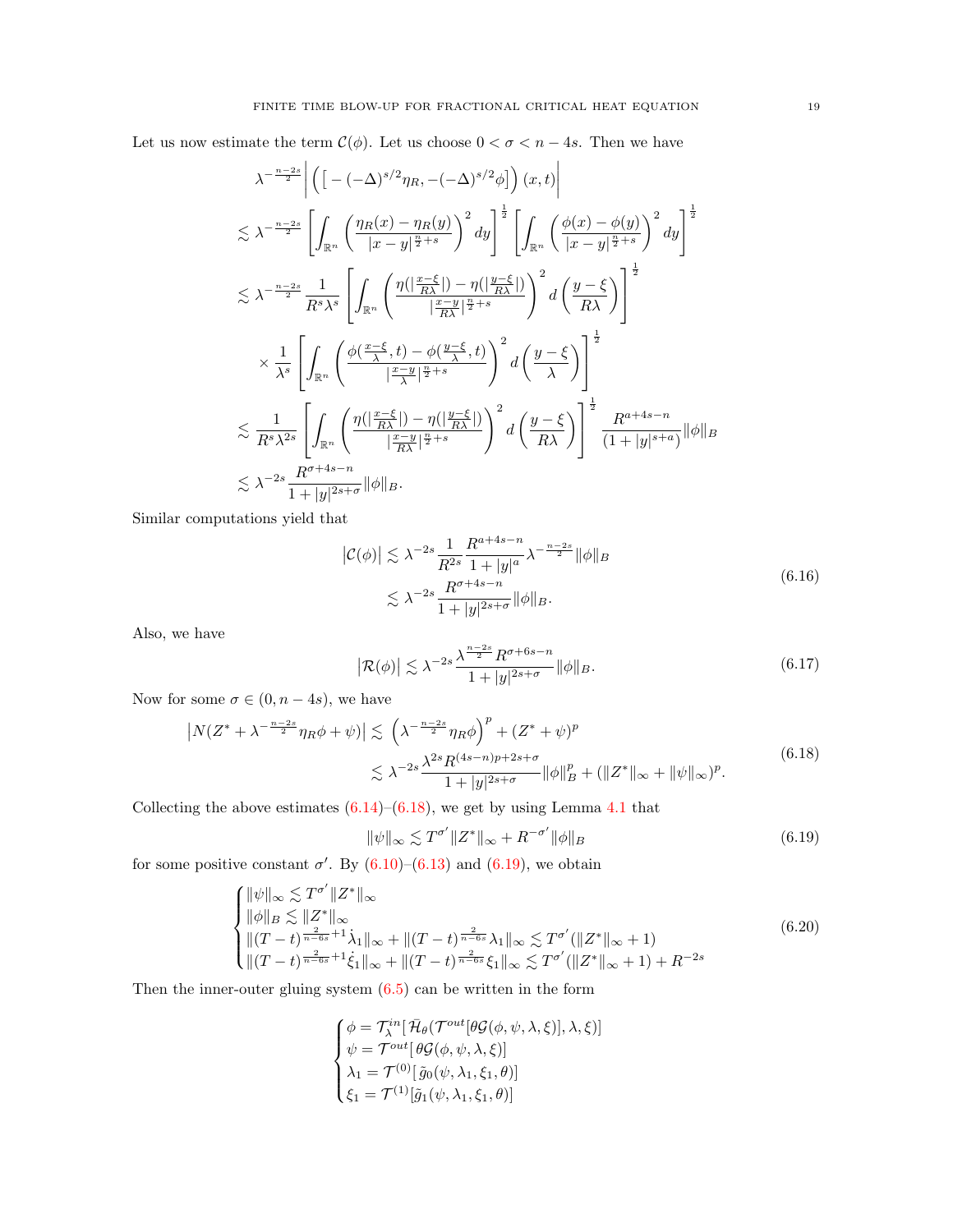Let us now estimate the term  $\mathcal{C}(\phi)$ . Let us choose  $0 < \sigma < n-4s$ . Then we have

$$
\lambda^{-\frac{n-2s}{2}} \left| \left( \left[ -(-\Delta)^{s/2} \eta_R, -(-\Delta)^{s/2} \phi \right] \right) (x, t) \right|
$$
  
\n
$$
\lesssim \lambda^{-\frac{n-2s}{2}} \left[ \int_{\mathbb{R}^n} \left( \frac{\eta_R(x) - \eta_R(y)}{|x - y|^{\frac{n}{2} + s}} \right)^2 dy \right]^{\frac{1}{2}} \left[ \int_{\mathbb{R}^n} \left( \frac{\phi(x) - \phi(y)}{|x - y|^{\frac{n}{2} + s}} \right)^2 dy \right]^{\frac{1}{2}}
$$
  
\n
$$
\lesssim \lambda^{-\frac{n-2s}{2}} \frac{1}{R^s \lambda^s} \left[ \int_{\mathbb{R}^n} \left( \frac{\eta(|\frac{x - \xi}{R\lambda}|) - \eta(|\frac{y - \xi}{R\lambda}|)}{|\frac{x - y}{R\lambda}|^{\frac{n}{2} + s}} \right)^2 d\left( \frac{y - \xi}{R\lambda} \right) \right]^{\frac{1}{2}}
$$
  
\n
$$
\times \frac{1}{\lambda^s} \left[ \int_{\mathbb{R}^n} \left( \frac{\phi(\frac{x - \xi}{\lambda}, t) - \phi(\frac{y - \xi}{\lambda}, t)}{|\frac{x - y}{\lambda}|^{\frac{n}{2} + s}} \right)^2 d\left( \frac{y - \xi}{\lambda} \right) \right]^{\frac{1}{2}}
$$
  
\n
$$
\lesssim \frac{1}{R^s \lambda^{2s}} \left[ \int_{\mathbb{R}^n} \left( \frac{\eta(|\frac{x - \xi}{R\lambda}|) - \eta(|\frac{y - \xi}{R\lambda}|)}{|\frac{x - y}{R\lambda}|^{\frac{n}{2} + s}} \right)^2 d\left( \frac{y - \xi}{R\lambda} \right) \right]^{\frac{1}{2}} \frac{R^{a + 4s - n}}{(1 + |y|^{s + a})} ||\phi||_B
$$
  
\n
$$
\lesssim \lambda^{-2s} \frac{R^{\sigma + 4s - n}}{1 + |y|^{2s + \sigma}} ||\phi||_B.
$$

Similar computations yield that

$$
\left| \mathcal{C}(\phi) \right| \lesssim \lambda^{-2s} \frac{1}{R^{2s}} \frac{R^{a+4s-n}}{1+|y|^a} \lambda^{-\frac{n-2s}{2}} \|\phi\|_B
$$
  

$$
\lesssim \lambda^{-2s} \frac{R^{\sigma+4s-n}}{1+|y|^{2s+\sigma}} \|\phi\|_B.
$$
 (6.16)

Also, we have

$$
\left|\mathcal{R}(\phi)\right| \lesssim \lambda^{-2s} \frac{\lambda^{\frac{n-2s}{2}} R^{\sigma+6s-n}}{1+|y|^{2s+\sigma}} \|\phi\|_B. \tag{6.17}
$$

Now for some  $\sigma \in (0, n-4s)$ , we have

<span id="page-18-0"></span>
$$
\left| N(Z^* + \lambda^{-\frac{n-2s}{2}} \eta_R \phi + \psi) \right| \lesssim \left( \lambda^{-\frac{n-2s}{2}} \eta_R \phi \right)^p + (Z^* + \psi)^p
$$
  

$$
\lesssim \lambda^{-2s} \frac{\lambda^{2s} R^{(4s-n)p + 2s + \sigma}}{1 + |y|^{2s + \sigma}} \|\phi\|_B^p + (\|Z^*\|_{\infty} + \|\psi\|_{\infty})^p.
$$
 (6.18)

Collecting the above estimates  $(6.14)$ – $(6.18)$ , we get by using Lemma [4.1](#page-6-7) that

<span id="page-18-1"></span>
$$
\|\psi\|_{\infty} \lesssim T^{\sigma'} \|Z^*\|_{\infty} + R^{-\sigma'} \|\phi\|_{B}
$$
\n(6.19)

for some positive constant  $\sigma'$ . By  $(6.10)$ – $(6.13)$  and  $(6.19)$ , we obtain

<span id="page-18-2"></span>
$$
\begin{cases}\n\|\psi\|_{\infty} \lesssim T^{\sigma'} \|Z^*\|_{\infty} \\
\|\phi\|_{B} \lesssim \|Z^*\|_{\infty} \\
\|(T-t)^{\frac{2}{n-6s}+1} \dot{\lambda}_{1}\|_{\infty} + \|(T-t)^{\frac{2}{n-6s}} \lambda_{1}\|_{\infty} \lesssim T^{\sigma'}(\|Z^*\|_{\infty}+1) \\
\|(T-t)^{\frac{2}{n-6s}+1} \dot{\xi}_{1}\|_{\infty} + \|(T-t)^{\frac{2}{n-6s}} \xi_{1}\|_{\infty} \lesssim T^{\sigma'}(\|Z^*\|_{\infty}+1) + R^{-2s}\n\end{cases
$$
\n(6.20)

Then the inner-outer gluing system [\(6.5\)](#page-15-4) can be written in the form

$$
\begin{cases}\n\phi = \mathcal{T}_{\lambda}^{in}[\,\bar{\mathcal{H}}_{\theta}(\mathcal{T}^{out}[\theta\mathcal{G}(\phi,\psi,\lambda,\xi)],\lambda,\xi)] \\
\psi = \mathcal{T}^{out}[\,\theta\mathcal{G}(\phi,\psi,\lambda,\xi)] \\
\lambda_1 = \mathcal{T}^{(0)}[\,\tilde{g}_0(\psi,\lambda_1,\xi_1,\theta)] \\
\xi_1 = \mathcal{T}^{(1)}[\tilde{g}_1(\psi,\lambda_1,\xi_1,\theta)]\n\end{cases}
$$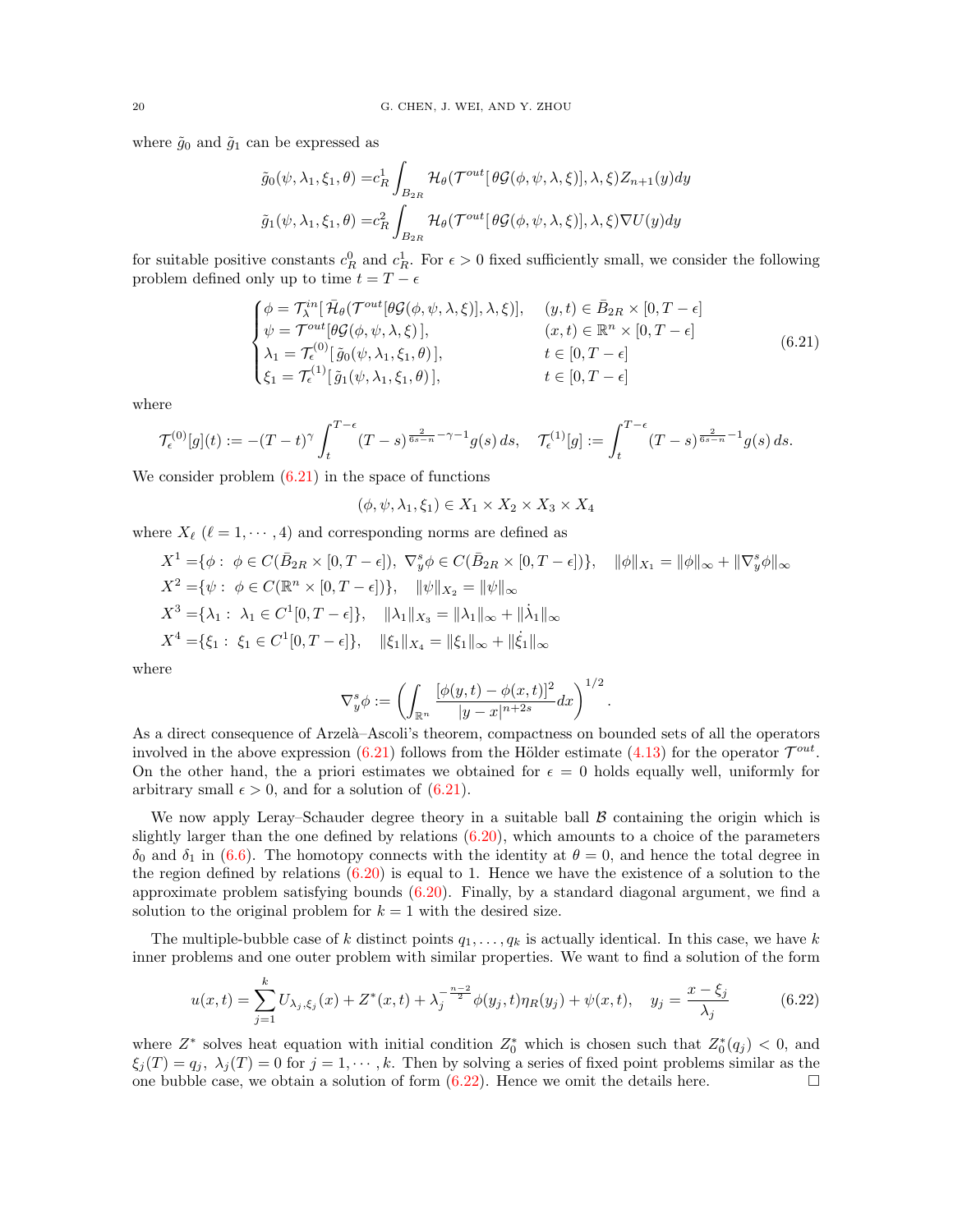where  $\tilde{g}_0$  and  $\tilde{g}_1$  can be expressed as

$$
\tilde{g}_0(\psi, \lambda_1, \xi_1, \theta) = c_R^1 \int_{B_{2R}} \mathcal{H}_{\theta}(\mathcal{T}^{out}[\theta \mathcal{G}(\phi, \psi, \lambda, \xi)], \lambda, \xi) Z_{n+1}(y) dy
$$

$$
\tilde{g}_1(\psi, \lambda_1, \xi_1, \theta) = c_R^2 \int_{B_{2R}} \mathcal{H}_{\theta}(\mathcal{T}^{out}[\theta \mathcal{G}(\phi, \psi, \lambda, \xi)], \lambda, \xi) \nabla U(y) dy
$$

for suitable positive constants  $c_R^0$  and  $c_R^1$ . For  $\epsilon > 0$  fixed sufficiently small, we consider the following problem defined only up to time  $t = T - \epsilon$ 

<span id="page-19-0"></span>
$$
\begin{cases}\n\phi = \mathcal{T}_{\lambda}^{in}[\bar{\mathcal{H}}_{\theta}(\mathcal{T}^{out}[\theta\mathcal{G}(\phi,\psi,\lambda,\xi)],\lambda,\xi)], & (y,t) \in \bar{B}_{2R} \times [0,T-\epsilon] \\
\psi = \mathcal{T}^{out}[\theta\mathcal{G}(\phi,\psi,\lambda,\xi)], & (x,t) \in \mathbb{R}^{n} \times [0,T-\epsilon] \\
\lambda_{1} = \mathcal{T}_{\epsilon}^{(0)}[\tilde{g}_{0}(\psi,\lambda_{1},\xi_{1},\theta)], & t \in [0,T-\epsilon] \\
\xi_{1} = \mathcal{T}_{\epsilon}^{(1)}[\tilde{g}_{1}(\psi,\lambda_{1},\xi_{1},\theta)], & t \in [0,T-\epsilon]\n\end{cases}
$$
\n(6.21)

where

$$
\mathcal{T}_{\epsilon}^{(0)}[g](t) := -(T-t)^{\gamma} \int_{t}^{T-\epsilon} (T-s)^{\frac{2}{6s-n}-\gamma-1} g(s) \, ds, \quad \mathcal{T}_{\epsilon}^{(1)}[g] := \int_{t}^{T-\epsilon} (T-s)^{\frac{2}{6s-n}-1} g(s) \, ds.
$$

We consider problem  $(6.21)$  in the space of functions

 $(\phi, \psi, \lambda_1, \xi_1) \in X_1 \times X_2 \times X_3 \times X_4$ 

where  $X_{\ell}$  ( $\ell = 1, \dots, 4$ ) and corresponding norms are defined as

$$
X^{1} = \{ \phi : \phi \in C(\bar{B}_{2R} \times [0, T - \epsilon]), \nabla_{y}^{s} \phi \in C(\bar{B}_{2R} \times [0, T - \epsilon]) \}, \quad \|\phi\|_{X_{1}} = \|\phi\|_{\infty} + \|\nabla_{y}^{s} \phi\|_{\infty}
$$
  
\n
$$
X^{2} = \{ \psi : \phi \in C(\mathbb{R}^{n} \times [0, T - \epsilon]) \}, \quad \|\psi\|_{X_{2}} = \|\psi\|_{\infty}
$$
  
\n
$$
X^{3} = \{ \lambda_{1} : \lambda_{1} \in C^{1}[0, T - \epsilon] \}, \quad \|\lambda_{1}\|_{X_{3}} = \|\lambda_{1}\|_{\infty} + \|\dot{\lambda}_{1}\|_{\infty}
$$
  
\n
$$
X^{4} = \{ \xi_{1} : \xi_{1} \in C^{1}[0, T - \epsilon] \}, \quad \|\xi_{1}\|_{X_{4}} = \|\xi_{1}\|_{\infty} + \|\dot{\xi}_{1}\|_{\infty}
$$

where

$$
\nabla_y^s \phi := \left( \int_{\mathbb{R}^n} \frac{[\phi(y, t) - \phi(x, t)]^2}{|y - x|^{n+2s}} dx \right)^{1/2}.
$$

As a direct consequence of Arzelà–Ascoli's theorem, compactness on bounded sets of all the operators involved in the above expression [\(6.21\)](#page-19-0) follows from the Hölder estimate [\(4.13\)](#page-8-5) for the operator  $\mathcal{T}^{out}$ . On the other hand, the a priori estimates we obtained for  $\epsilon = 0$  holds equally well, uniformly for arbitrary small  $\epsilon > 0$ , and for a solution of  $(6.21)$ .

We now apply Leray–Schauder degree theory in a suitable ball  $\beta$  containing the origin which is slightly larger than the one defined by relations [\(6.20\)](#page-18-2), which amounts to a choice of the parameters  $\delta_0$  and  $\delta_1$  in [\(6.6\)](#page-15-5). The homotopy connects with the identity at  $\theta = 0$ , and hence the total degree in the region defined by relations  $(6.20)$  is equal to 1. Hence we have the existence of a solution to the approximate problem satisfying bounds [\(6.20\)](#page-18-2). Finally, by a standard diagonal argument, we find a solution to the original problem for  $k = 1$  with the desired size.

The multiple-bubble case of k distinct points  $q_1, \ldots, q_k$  is actually identical. In this case, we have k inner problems and one outer problem with similar properties. We want to find a solution of the form

<span id="page-19-1"></span>
$$
u(x,t) = \sum_{j=1}^{k} U_{\lambda_j, \xi_j}(x) + Z^*(x,t) + \lambda_j^{-\frac{n-2}{2}} \phi(y_j, t) \eta_R(y_j) + \psi(x,t), \quad y_j = \frac{x - \xi_j}{\lambda_j}
$$
(6.22)

where  $Z^*$  solves heat equation with initial condition  $Z_0^*$  which is chosen such that  $Z_0^*(q_j) < 0$ , and  $\xi_i(T) = q_i, \ \lambda_i(T) = 0$  for  $j = 1, \dots, k$ . Then by solving a series of fixed point problems similar as the one bubble case, we obtain a solution of form  $(6.22)$ . Hence we omit the details here.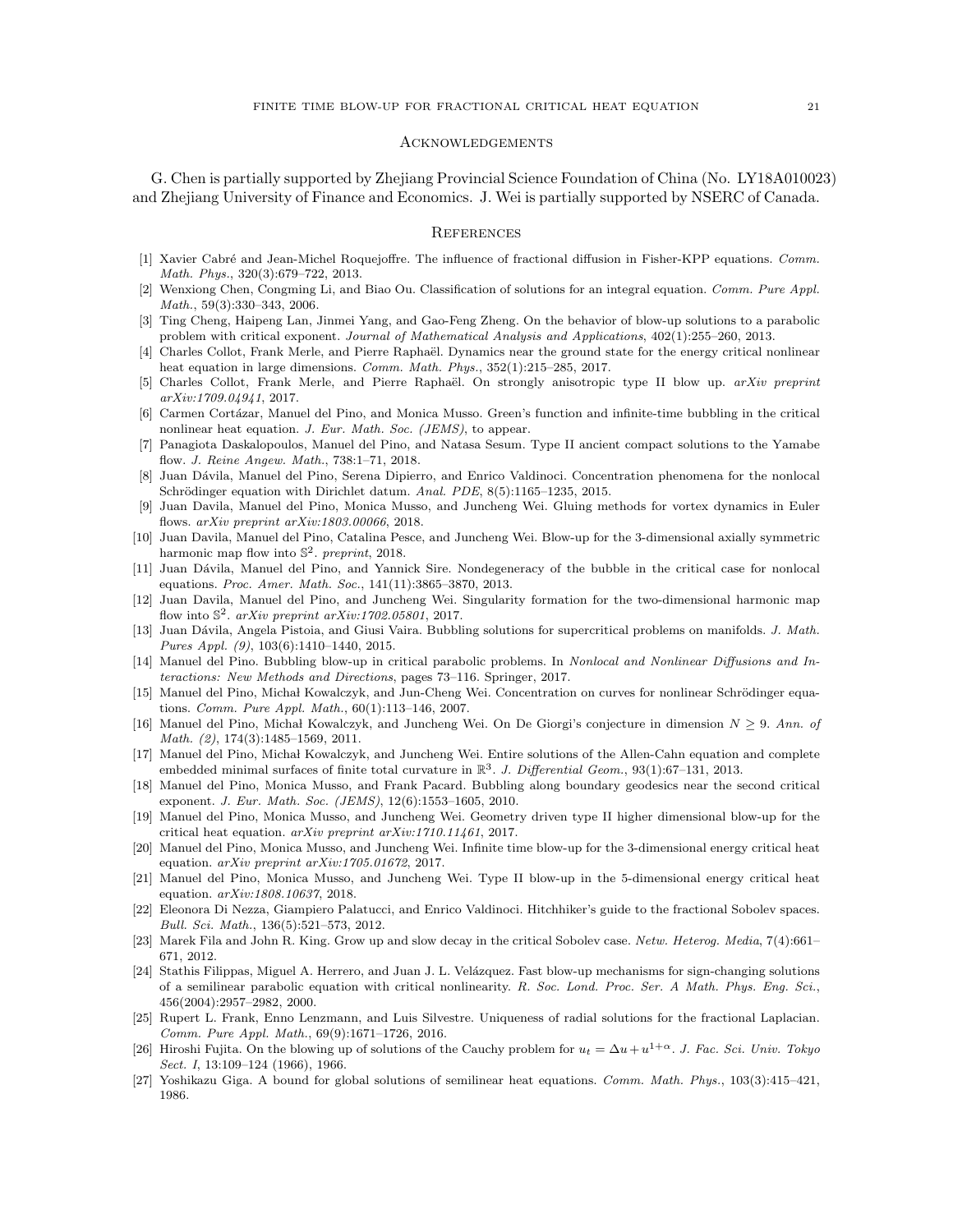## Acknowledgements

G. Chen is partially supported by Zhejiang Provincial Science Foundation of China (No. LY18A010023) and Zhejiang University of Finance and Economics. J. Wei is partially supported by NSERC of Canada.

#### **REFERENCES**

- <span id="page-20-26"></span>[1] Xavier Cabré and Jean-Michel Roquejoffre. The influence of fractional diffusion in Fisher-KPP equations. Comm. Math. Phys., 320(3):679–722, 2013.
- <span id="page-20-17"></span>[2] Wenxiong Chen, Congming Li, and Biao Ou. Classification of solutions for an integral equation. Comm. Pure Appl. Math., 59(3):330–343, 2006.
- <span id="page-20-4"></span>[3] Ting Cheng, Haipeng Lan, Jinmei Yang, and Gao-Feng Zheng. On the behavior of blow-up solutions to a parabolic problem with critical exponent. Journal of Mathematical Analysis and Applications, 402(1):255–260, 2013.
- <span id="page-20-6"></span>[4] Charles Collot, Frank Merle, and Pierre Raphaël. Dynamics near the ground state for the energy critical nonlinear heat equation in large dimensions. Comm. Math. Phys., 352(1):215–285, 2017.
- <span id="page-20-2"></span>[5] Charles Collot, Frank Merle, and Pierre Raphaël. On strongly anisotropic type II blow up. arXiv preprint arXiv:1709.04941, 2017.
- <span id="page-20-14"></span>[6] Carmen Cortázar, Manuel del Pino, and Monica Musso. Green's function and infinite-time bubbling in the critical nonlinear heat equation. J. Eur. Math. Soc. (JEMS), to appear.
- <span id="page-20-10"></span>[7] Panagiota Daskalopoulos, Manuel del Pino, and Natasa Sesum. Type II ancient compact solutions to the Yamabe flow. J. Reine Angew. Math., 738:1–71, 2018.
- <span id="page-20-16"></span>[8] Juan Dávila, Manuel del Pino, Serena Dipierro, and Enrico Valdinoci. Concentration phenomena for the nonlocal Schrödinger equation with Dirichlet datum. Anal. PDE, 8(5):1165–1235, 2015.
- <span id="page-20-11"></span>[9] Juan Davila, Manuel del Pino, Monica Musso, and Juncheng Wei. Gluing methods for vortex dynamics in Euler flows. arXiv preprint arXiv:1803.00066, 2018.
- <span id="page-20-22"></span>[10] Juan Davila, Manuel del Pino, Catalina Pesce, and Juncheng Wei. Blow-up for the 3-dimensional axially symmetric harmonic map flow into  $\mathbb{S}^2$ . preprint, 2018.
- <span id="page-20-25"></span>[11] Juan Dávila, Manuel del Pino, and Yannick Sire. Nondegeneracy of the bubble in the critical case for nonlocal equations. Proc. Amer. Math. Soc., 141(11):3865–3870, 2013.
- <span id="page-20-12"></span>[12] Juan Davila, Manuel del Pino, and Juncheng Wei. Singularity formation for the two-dimensional harmonic map flow into  $\mathbb{S}^2$ . arXiv preprint arXiv:1702.05801, 2017.
- <span id="page-20-13"></span>[13] Juan Dávila, Angela Pistoia, and Giusi Vaira. Bubbling solutions for supercritical problems on manifolds. J. Math. Pures Appl. (9), 103(6):1410–1440, 2015.
- <span id="page-20-23"></span>[14] Manuel del Pino. Bubbling blow-up in critical parabolic problems. In Nonlocal and Nonlinear Diffusions and Interactions: New Methods and Directions, pages 73–116. Springer, 2017.
- <span id="page-20-18"></span>[15] Manuel del Pino, Michał Kowalczyk, and Jun-Cheng Wei. Concentration on curves for nonlinear Schrödinger equations. Comm. Pure Appl. Math., 60(1):113–146, 2007.
- <span id="page-20-19"></span>[16] Manuel del Pino, Michał Kowalczyk, and Juncheng Wei. On De Giorgi's conjecture in dimension  $N \ge 9$ . Ann. of Math. (2), 174(3):1485-1569, 2011.
- <span id="page-20-21"></span>[17] Manuel del Pino, Michał Kowalczyk, and Juncheng Wei. Entire solutions of the Allen-Cahn equation and complete embedded minimal surfaces of finite total curvature in  $\mathbb{R}^3$ . J. Differential Geom., 93(1):67–131, 2013.
- <span id="page-20-20"></span>[18] Manuel del Pino, Monica Musso, and Frank Pacard. Bubbling along boundary geodesics near the second critical exponent. J. Eur. Math. Soc. (JEMS), 12(6):1553–1605, 2010.
- <span id="page-20-5"></span>[19] Manuel del Pino, Monica Musso, and Juncheng Wei. Geometry driven type II higher dimensional blow-up for the critical heat equation. arXiv preprint arXiv:1710.11461, 2017.
- <span id="page-20-9"></span>[20] Manuel del Pino, Monica Musso, and Juncheng Wei. Infinite time blow-up for the 3-dimensional energy critical heat equation. arXiv preprint arXiv:1705.01672, 2017.
- <span id="page-20-7"></span>[21] Manuel del Pino, Monica Musso, and Juncheng Wei. Type II blow-up in the 5-dimensional energy critical heat equation. arXiv:1808.10637, 2018.
- <span id="page-20-15"></span>[22] Eleonora Di Nezza, Giampiero Palatucci, and Enrico Valdinoci. Hitchhiker's guide to the fractional Sobolev spaces. Bull. Sci. Math., 136(5):521–573, 2012.
- <span id="page-20-8"></span>[23] Marek Fila and John R. King. Grow up and slow decay in the critical Sobolev case. Netw. Heterog. Media, 7(4):661– 671, 2012.
- <span id="page-20-3"></span>[24] Stathis Filippas, Miguel A. Herrero, and Juan J. L. Velázquez. Fast blow-up mechanisms for sign-changing solutions of a semilinear parabolic equation with critical nonlinearity. R. Soc. Lond. Proc. Ser. A Math. Phys. Eng. Sci., 456(2004):2957–2982, 2000.
- <span id="page-20-24"></span>[25] Rupert L. Frank, Enno Lenzmann, and Luis Silvestre. Uniqueness of radial solutions for the fractional Laplacian. Comm. Pure Appl. Math., 69(9):1671–1726, 2016.
- <span id="page-20-0"></span>[26] Hiroshi Fujita. On the blowing up of solutions of the Cauchy problem for  $u_t = \Delta u + u^{1+\alpha}$ . J. Fac. Sci. Univ. Tokyo Sect. I, 13:109–124 (1966), 1966.
- <span id="page-20-1"></span>[27] Yoshikazu Giga. A bound for global solutions of semilinear heat equations. Comm. Math. Phys., 103(3):415–421, 1986.